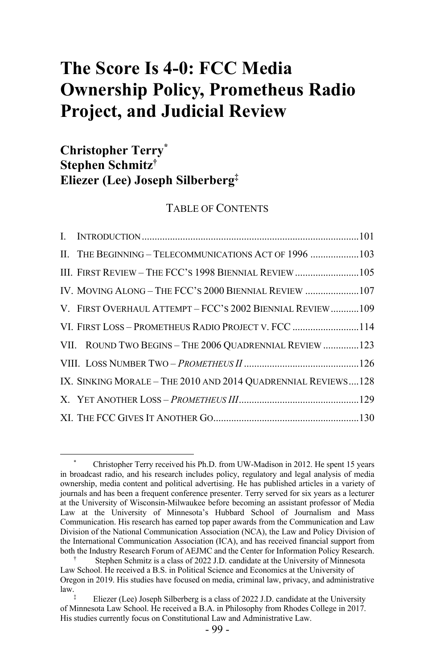# **The Score Is 4-0: FCC Media Ownership Policy, Prometheus Radio Project, and Judicial Review**

# **Christopher Terry\* Stephen Schmitz† Eliezer (Lee) Joseph Silberberg‡**

#### TABLE OF CONTENTS

| II. THE BEGINNING - TELECOMMUNICATIONS ACT OF 1996 103        |  |
|---------------------------------------------------------------|--|
| III. FIRST REVIEW - THE FCC'S 1998 BIENNIAL REVIEW 105        |  |
| IV. MOVING ALONG - THE FCC'S 2000 BIENNIAL REVIEW 107         |  |
| V. FIRST OVERHAUL ATTEMPT - FCC'S 2002 BIENNIAL REVIEW109     |  |
| VI. FIRST LOSS - PROMETHEUS RADIO PROJECT V. FCC 114          |  |
| VII. ROUND TWO BEGINS - THE 2006 QUADRENNIAL REVIEW 123       |  |
|                                                               |  |
| IX. SINKING MORALE - THE 2010 AND 2014 QUADRENNIAL REVIEWS128 |  |
|                                                               |  |
|                                                               |  |

Christopher Terry received his Ph.D. from UW-Madison in 2012. He spent 15 years in broadcast radio, and his research includes policy, regulatory and legal analysis of media ownership, media content and political advertising. He has published articles in a variety of journals and has been a frequent conference presenter. Terry served for six years as a lecturer at the University of Wisconsin-Milwaukee before becoming an assistant professor of Media Law at the University of Minnesota's Hubbard School of Journalism and Mass Communication. His research has earned top paper awards from the Communication and Law Division of the National Communication Association (NCA), the Law and Policy Division of the International Communication Association (ICA), and has received financial support from both the Industry Research Forum of AEJMC and the Center for Information Policy Research.

<sup>†</sup> Stephen Schmitz is a class of 2022 J.D. candidate at the University of Minnesota Law School. He received a B.S. in Political Science and Economics at the University of Oregon in 2019. His studies have focused on media, criminal law, privacy, and administrative law.

Eliezer (Lee) Joseph Silberberg is a class of 2022 J.D. candidate at the University of Minnesota Law School. He received a B.A. in Philosophy from Rhodes College in 2017. His studies currently focus on Constitutional Law and Administrative Law.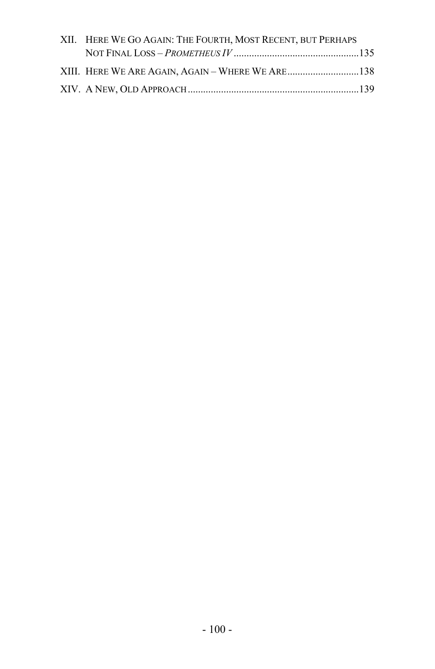| XII. HERE WE GO AGAIN: THE FOURTH, MOST RECENT, BUT PERHAPS |  |
|-------------------------------------------------------------|--|
|                                                             |  |
|                                                             |  |
|                                                             |  |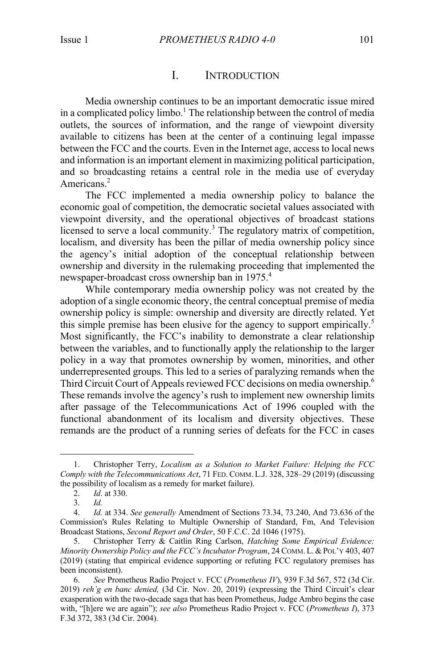#### I. INTRODUCTION

Media ownership continues to be an important democratic issue mired in a complicated policy limbo.<sup>1</sup> The relationship between the control of media outlets, the sources of information, and the range of viewpoint diversity available to citizens has been at the center of a continuing legal impasse between the FCC and the courts. Even in the Internet age, access to local news and information is an important element in maximizing political participation, and so broadcasting retains a central role in the media use of everyday Americans. 2

The FCC implemented a media ownership policy to balance the economic goal of competition, the democratic societal values associated with viewpoint diversity, and the operational objectives of broadcast stations licensed to serve a local community.<sup>3</sup> The regulatory matrix of competition, localism, and diversity has been the pillar of media ownership policy since the agency's initial adoption of the conceptual relationship between ownership and diversity in the rulemaking proceeding that implemented the newspaper-broadcast cross ownership ban in 1975.<sup>4</sup>

While contemporary media ownership policy was not created by the adoption of a single economic theory, the central conceptual premise of media ownership policy is simple: ownership and diversity are directly related. Yet this simple premise has been elusive for the agency to support empirically.<sup>5</sup> Most significantly, the FCC's inability to demonstrate a clear relationship between the variables, and to functionally apply the relationship to the larger policy in a way that promotes ownership by women, minorities, and other underrepresented groups. This led to a series of paralyzing remands when the Third Circuit Court of Appeals reviewed FCC decisions on media ownership.<sup>6</sup> These remands involve the agency's rush to implement new ownership limits after passage of the Telecommunications Act of 1996 coupled with the functional abandonment of its localism and diversity objectives. These remands are the product of a running series of defeats for the FCC in cases

<sup>1.</sup> Christopher Terry, *Localism as a Solution to Market Failure: Helping the FCC Comply with the Telecommunications Act*, 71 FED. COMM. L.J. 328, 328–29 (2019) (discussing the possibility of localism as a remedy for market failure).

<sup>2.</sup> *Id*. at 330.

<sup>3.</sup> *Id.*

<sup>4.</sup> *Id.* at 334. *See generally* Amendment of Sections 73.34, 73.240, And 73.636 of the Commission's Rules Relating to Multiple Ownership of Standard, Fm, And Television Broadcast Stations, *Second Report and Order*, 50 F.C.C. 2d 1046 (1975).

<sup>5.</sup> Christopher Terry & Caitlin Ring Carlson, *Hatching Some Empirical Evidence: Minority Ownership Policy and the FCC's Incubator Program*, 24 COMM. L.&POL'Y 403, 407 (2019) (stating that empirical evidence supporting or refuting FCC regulatory premises has been inconsistent).

<sup>6.</sup> *See* Prometheus Radio Project v. FCC (*Prometheus IV*), 939 F.3d 567, 572 (3d Cir. 2019) *reh'g en banc denied,* (3d Cir. Nov. 20, 2019) (expressing the Third Circuit's clear exasperation with the two-decade saga that has been Prometheus, Judge Ambro begins the case with, "[h]ere we are again"); *see also* Prometheus Radio Project v. FCC (*Prometheus I*), 373 F.3d 372, 383 (3d Cir. 2004).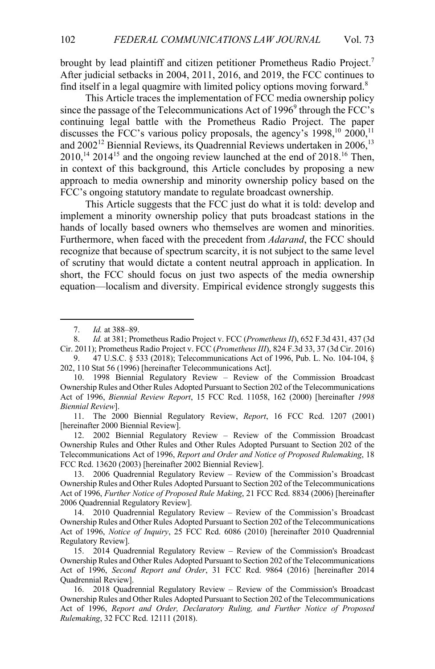brought by lead plaintiff and citizen petitioner Prometheus Radio Project.<sup>7</sup> After judicial setbacks in 2004, 2011, 2016, and 2019, the FCC continues to find itself in a legal quagmire with limited policy options moving forward.<sup>8</sup>

This Article traces the implementation of FCC media ownership policy since the passage of the Telecommunications Act of  $1996^9$  through the FCC's continuing legal battle with the Prometheus Radio Project. The paper discusses the FCC's various policy proposals, the agency's  $1998$ ,<sup>10</sup>  $2000$ ,<sup>11</sup> and 2002<sup>12</sup> Biennial Reviews, its Quadrennial Reviews undertaken in 2006,<sup>13</sup>  $2010$ ,<sup>14</sup>  $2014$ <sup>15</sup> and the ongoing review launched at the end of  $2018$ .<sup>16</sup> Then, in context of this background, this Article concludes by proposing a new approach to media ownership and minority ownership policy based on the FCC's ongoing statutory mandate to regulate broadcast ownership.

This Article suggests that the FCC just do what it is told: develop and implement a minority ownership policy that puts broadcast stations in the hands of locally based owners who themselves are women and minorities. Furthermore, when faced with the precedent from *Adarand*, the FCC should recognize that because of spectrum scarcity, it is not subject to the same level of scrutiny that would dictate a content neutral approach in application. In short, the FCC should focus on just two aspects of the media ownership equation—localism and diversity. Empirical evidence strongly suggests this

<sup>7.</sup> *Id.* at 388–89.

<sup>8.</sup> *Id.* at 381; Prometheus Radio Project v. FCC (*Prometheus II*), 652 F.3d 431, 437 (3d Cir. 2011); Prometheus Radio Project v. FCC (*Prometheus III*), 824 F.3d 33, 37 (3d Cir. 2016)

<sup>9.</sup> 47 U.S.C. § 533 (2018); Telecommunications Act of 1996, Pub. L. No. 104-104, § 202, 110 Stat 56 (1996) [hereinafter Telecommunications Act].

<sup>10.</sup> 1998 Biennial Regulatory Review – Review of the Commission Broadcast Ownership Rules and Other Rules Adopted Pursuant to Section 202 of the Telecommunications Act of 1996, *Biennial Review Report*, 15 FCC Rcd. 11058, 162 (2000) [hereinafter *1998 Biennial Review*].

<sup>11.</sup> The 2000 Biennial Regulatory Review, *Report*, 16 FCC Rcd. 1207 (2001) [hereinafter 2000 Biennial Review].

<sup>12.</sup> 2002 Biennial Regulatory Review – Review of the Commission Broadcast Ownership Rules and Other Rules and Other Rules Adopted Pursuant to Section 202 of the Telecommunications Act of 1996, *Report and Order and Notice of Proposed Rulemaking*, 18 FCC Rcd. 13620 (2003) [hereinafter 2002 Biennial Review].

<sup>13.</sup> 2006 Quadrennial Regulatory Review – Review of the Commission's Broadcast Ownership Rules and Other Rules Adopted Pursuant to Section 202 of the Telecommunications Act of 1996, *Further Notice of Proposed Rule Making*, 21 FCC Rcd. 8834 (2006) [hereinafter 2006 Quadrennial Regulatory Review].

<sup>14.</sup> 2010 Quadrennial Regulatory Review – Review of the Commission's Broadcast Ownership Rules and Other Rules Adopted Pursuant to Section 202 of the Telecommunications Act of 1996, *Notice of Inquiry*, 25 FCC Rcd. 6086 (2010) [hereinafter 2010 Quadrennial Regulatory Review].

<sup>15.</sup> 2014 Quadrennial Regulatory Review – Review of the Commission's Broadcast Ownership Rules and Other Rules Adopted Pursuant to Section 202 of the Telecommunications Act of 1996, *Second Report and Order*, 31 FCC Rcd. 9864 (2016) [hereinafter 2014 Quadrennial Review].

<sup>16.</sup> 2018 Quadrennial Regulatory Review – Review of the Commission's Broadcast Ownership Rules and Other Rules Adopted Pursuant to Section 202 of the Telecommunications Act of 1996, *Report and Order, Declaratory Ruling, and Further Notice of Proposed Rulemaking*, 32 FCC Rcd. 12111 (2018).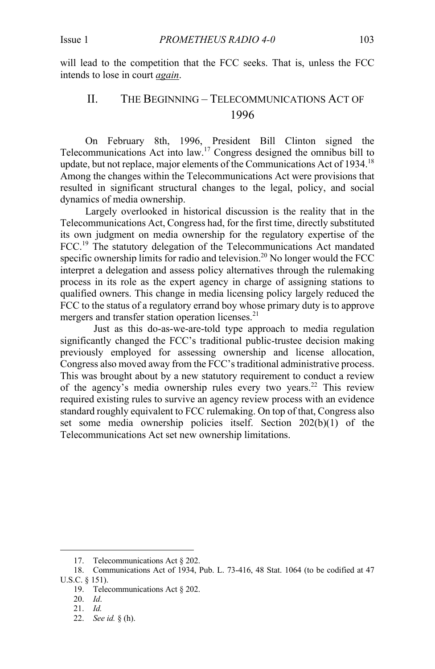will lead to the competition that the FCC seeks. That is, unless the FCC intends to lose in court *again*.

### II. THE BEGINNING – TELECOMMUNICATIONS ACT OF 1996

On February 8th, 1996, President Bill Clinton signed the Telecommunications Act into law.17 Congress designed the omnibus bill to update, but not replace, major elements of the Communications Act of 1934.<sup>18</sup> Among the changes within the Telecommunications Act were provisions that resulted in significant structural changes to the legal, policy, and social dynamics of media ownership.

Largely overlooked in historical discussion is the reality that in the Telecommunications Act, Congress had, for the first time, directly substituted its own judgment on media ownership for the regulatory expertise of the FCC.<sup>19</sup> The statutory delegation of the Telecommunications Act mandated specific ownership limits for radio and television.<sup>20</sup> No longer would the FCC interpret a delegation and assess policy alternatives through the rulemaking process in its role as the expert agency in charge of assigning stations to qualified owners. This change in media licensing policy largely reduced the FCC to the status of a regulatory errand boy whose primary duty is to approve mergers and transfer station operation licenses.<sup>21</sup>

Just as this do-as-we-are-told type approach to media regulation significantly changed the FCC's traditional public-trustee decision making previously employed for assessing ownership and license allocation, Congress also moved away from the FCC's traditional administrative process. This was brought about by a new statutory requirement to conduct a review of the agency's media ownership rules every two years.<sup>22</sup> This review required existing rules to survive an agency review process with an evidence standard roughly equivalent to FCC rulemaking. On top of that, Congress also set some media ownership policies itself. Section 202(b)(1) of the Telecommunications Act set new ownership limitations.

<sup>17.</sup> Telecommunications Act § 202.

<sup>18.</sup> Communications Act of 1934, Pub. L. 73-416, 48 Stat. 1064 (to be codified at 47 U.S.C. § 151).

<sup>19.</sup> Telecommunications Act § 202.

<sup>20.</sup> *Id*.

<sup>21.</sup> *Id.*

<sup>22.</sup> *See id.* § (h).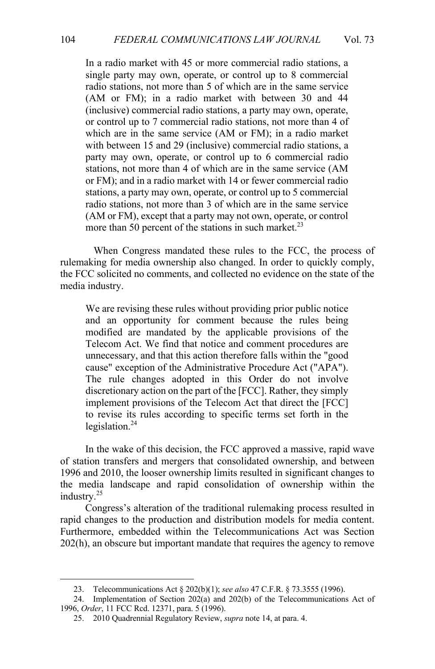In a radio market with 45 or more commercial radio stations, a single party may own, operate, or control up to 8 commercial radio stations, not more than 5 of which are in the same service (AM or FM); in a radio market with between 30 and 44 (inclusive) commercial radio stations, a party may own, operate, or control up to 7 commercial radio stations, not more than 4 of which are in the same service (AM or FM); in a radio market with between 15 and 29 (inclusive) commercial radio stations, a party may own, operate, or control up to 6 commercial radio stations, not more than 4 of which are in the same service (AM or FM); and in a radio market with 14 or fewer commercial radio stations, a party may own, operate, or control up to 5 commercial radio stations, not more than 3 of which are in the same service (AM or FM), except that a party may not own, operate, or control more than 50 percent of the stations in such market. $^{23}$ 

When Congress mandated these rules to the FCC, the process of rulemaking for media ownership also changed. In order to quickly comply, the FCC solicited no comments, and collected no evidence on the state of the media industry.

We are revising these rules without providing prior public notice and an opportunity for comment because the rules being modified are mandated by the applicable provisions of the Telecom Act. We find that notice and comment procedures are unnecessary, and that this action therefore falls within the "good cause" exception of the Administrative Procedure Act ("APA"). The rule changes adopted in this Order do not involve discretionary action on the part of the [FCC]. Rather, they simply implement provisions of the Telecom Act that direct the [FCC] to revise its rules according to specific terms set forth in the legislation. $^{24}$ 

In the wake of this decision, the FCC approved a massive, rapid wave of station transfers and mergers that consolidated ownership, and between 1996 and 2010, the looser ownership limits resulted in significant changes to the media landscape and rapid consolidation of ownership within the industry.<sup>25</sup>

Congress's alteration of the traditional rulemaking process resulted in rapid changes to the production and distribution models for media content. Furthermore, embedded within the Telecommunications Act was Section 202(h), an obscure but important mandate that requires the agency to remove

<sup>23.</sup> Telecommunications Act § 202(b)(1); *see also* 47 C.F.R. § 73.3555 (1996).

<sup>24.</sup> Implementation of Section 202(a) and 202(b) of the Telecommunications Act of 1996, *Order*, 11 FCC Rcd. 12371, para. 5 (1996).

<sup>25.</sup> 2010 Quadrennial Regulatory Review, *supra* note 14, at para. 4.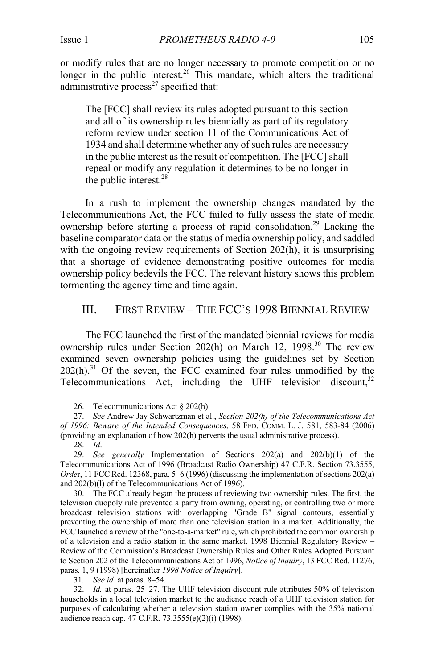or modify rules that are no longer necessary to promote competition or no longer in the public interest.<sup>26</sup> This mandate, which alters the traditional administrative process $^{27}$  specified that:

The [FCC] shall review its rules adopted pursuant to this section and all of its ownership rules biennially as part of its regulatory reform review under section 11 of the Communications Act of 1934 and shall determine whether any of such rules are necessary in the public interest as the result of competition. The [FCC] shall repeal or modify any regulation it determines to be no longer in the public interest. $28$ 

In a rush to implement the ownership changes mandated by the Telecommunications Act, the FCC failed to fully assess the state of media ownership before starting a process of rapid consolidation.<sup>29</sup> Lacking the baseline comparator data on the status of media ownership policy, and saddled with the ongoing review requirements of Section 202(h), it is unsurprising that a shortage of evidence demonstrating positive outcomes for media ownership policy bedevils the FCC. The relevant history shows this problem tormenting the agency time and time again.

#### III. FIRST REVIEW – THE FCC'S 1998 BIENNIAL REVIEW

The FCC launched the first of the mandated biennial reviews for media ownership rules under Section 202(h) on March 12, 1998.<sup>30</sup> The review examined seven ownership policies using the guidelines set by Section  $202(h).$ <sup>31</sup> Of the seven, the FCC examined four rules unmodified by the Telecommunications Act, including the UHF television discount,  $32$ 

31. *See id.* at paras. 8–54.

<sup>26.</sup> Telecommunications Act § 202(h).

<sup>27.</sup> *See* Andrew Jay Schwartzman et al., *Section 202(h) of the Telecommunications Act of 1996: Beware of the Intended Consequences*, 58 FED. COMM. L. J. 581, 583-84 (2006) (providing an explanation of how 202(h) perverts the usual administrative process).

<sup>28.</sup> *Id*.

<sup>29.</sup> *See generally* Implementation of Sections 202(a) and 202(b)(1) of the Telecommunications Act of 1996 (Broadcast Radio Ownership) 47 C.F.R. Section 73.3555, *Orde*r, 11 FCC Rcd. 12368, para. 5–6 (1996) (discussing the implementation of sections 202(a) and 202(b)(l) of the Telecommunications Act of 1996).

<sup>30.</sup> The FCC already began the process of reviewing two ownership rules. The first, the television duopoly rule prevented a party from owning, operating, or controlling two or more broadcast television stations with overlapping "Grade B" signal contours, essentially preventing the ownership of more than one television station in a market. Additionally, the FCC launched a review of the "one-to-a-market" rule, which prohibited the common ownership of a television and a radio station in the same market. 1998 Biennial Regulatory Review – Review of the Commission's Broadcast Ownership Rules and Other Rules Adopted Pursuant to Section 202 of the Telecommunications Act of 1996, *Notice of Inquiry*, 13 FCC Rcd. 11276, paras. 1, 9 (1998) [hereinafter *1998 Notice of Inquiry*].

<sup>32.</sup> *Id.* at paras. 25–27. The UHF television discount rule attributes 50% of television households in a local television market to the audience reach of a UHF television station for purposes of calculating whether a television station owner complies with the 35% national audience reach cap. 47 C.F.R. 73.3555(e)(2)(i) (1998).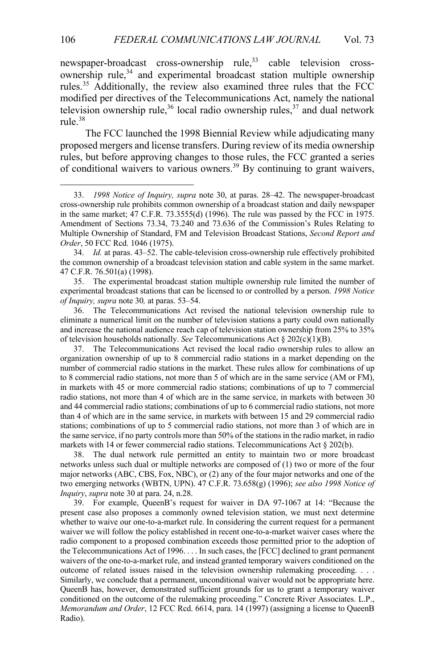newspaper-broadcast cross-ownership rule,<sup>33</sup> cable television crossownership rule, <sup>34</sup> and experimental broadcast station multiple ownership rules.<sup>35</sup> Additionally, the review also examined three rules that the FCC modified per directives of the Telecommunications Act, namely the national television ownership rule,<sup>36</sup> local radio ownership rules,<sup>37</sup> and dual network rule.<sup>38</sup>

The FCC launched the 1998 Biennial Review while adjudicating many proposed mergers and license transfers. During review of its media ownership rules, but before approving changes to those rules, the FCC granted a series of conditional waivers to various owners. <sup>39</sup> By continuing to grant waivers,

37. The Telecommunications Act revised the local radio ownership rules to allow an organization ownership of up to 8 commercial radio stations in a market depending on the number of commercial radio stations in the market. These rules allow for combinations of up to 8 commercial radio stations, not more than 5 of which are in the same service (AM or FM), in markets with 45 or more commercial radio stations; combinations of up to 7 commercial radio stations, not more than 4 of which are in the same service, in markets with between 30 and 44 commercial radio stations; combinations of up to 6 commercial radio stations, not more than 4 of which are in the same service, in markets with between 15 and 29 commercial radio stations; combinations of up to 5 commercial radio stations, not more than 3 of which are in the same service, if no party controls more than 50% of the stations in the radio market, in radio markets with 14 or fewer commercial radio stations. Telecommunications Act  $\S 202(b)$ .

38. The dual network rule permitted an entity to maintain two or more broadcast networks unless such dual or multiple networks are composed of (1) two or more of the four major networks (ABC, CBS, Fox, NBC), or (2) any of the four major networks and one of the two emerging networks (WBTN, UPN). 47 C.F.R. 73.658(g) (1996); *see also 1998 Notice of Inquiry*, *supra* note 30 at para. 24, n.28.

39. For example, QueenB's request for waiver in DA 97-1067 at 14: "Because the present case also proposes a commonly owned television station, we must next determine whether to waive our one-to-a-market rule. In considering the current request for a permanent waiver we will follow the policy established in recent one-to-a-market waiver cases where the radio component to a proposed combination exceeds those permitted prior to the adoption of the Telecommunications Act of 1996. . . . In such cases, the [FCC] declined to grant permanent waivers of the one-to-a-market rule, and instead granted temporary waivers conditioned on the outcome of related issues raised in the television ownership rulemaking proceeding. . . . Similarly, we conclude that a permanent, unconditional waiver would not be appropriate here. QueenB has, however, demonstrated sufficient grounds for us to grant a temporary waiver conditioned on the outcome of the rulemaking proceeding." Concrete River Associates. L.P., *Memorandum and Order*, 12 FCC Rcd. 6614, para. 14 (1997) (assigning a license to QueenB Radio).

<sup>33.</sup> *1998 Notice of Inquiry, supra* note 30, at paras. 28–42. The newspaper-broadcast cross-ownership rule prohibits common ownership of a broadcast station and daily newspaper in the same market; 47 C.F.R. 73.3555(d) (1996). The rule was passed by the FCC in 1975. Amendment of Sections 73.34, 73.240 and 73.636 of the Commission's Rules Relating to Multiple Ownership of Standard, FM and Television Broadcast Stations, *Second Report and Order*, 50 FCC Rcd. 1046 (1975).

<sup>34.</sup> *Id.* at paras. 43–52. The cable-television cross-ownership rule effectively prohibited the common ownership of a broadcast television station and cable system in the same market. 47 C.F.R. 76.501(a) (1998).

<sup>35.</sup> The experimental broadcast station multiple ownership rule limited the number of experimental broadcast stations that can be licensed to or controlled by a person. *1998 Notice of Inquiry, supra* note 30*,* at paras. 53–54.

<sup>36.</sup> The Telecommunications Act revised the national television ownership rule to eliminate a numerical limit on the number of television stations a party could own nationally and increase the national audience reach cap of television station ownership from 25% to 35% of television households nationally. *See* Telecommunications Act § 202(c)(1)(B).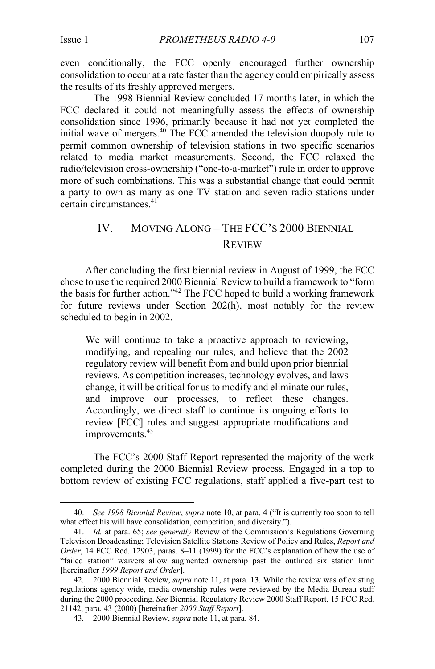even conditionally, the FCC openly encouraged further ownership consolidation to occur at a rate faster than the agency could empirically assess the results of its freshly approved mergers.

The 1998 Biennial Review concluded 17 months later, in which the FCC declared it could not meaningfully assess the effects of ownership consolidation since 1996, primarily because it had not yet completed the initial wave of mergers.<sup>40</sup> The FCC amended the television duopoly rule to permit common ownership of television stations in two specific scenarios related to media market measurements. Second, the FCC relaxed the radio/television cross-ownership ("one-to-a-market") rule in order to approve more of such combinations. This was a substantial change that could permit a party to own as many as one TV station and seven radio stations under certain circumstances.<sup>41</sup>

# IV. MOVING ALONG – THE FCC'S 2000 BIENNIAL REVIEW

After concluding the first biennial review in August of 1999, the FCC chose to use the required 2000 Biennial Review to build a framework to "form the basis for further action."<sup>42</sup> The FCC hoped to build a working framework for future reviews under Section 202(h), most notably for the review scheduled to begin in 2002.

We will continue to take a proactive approach to reviewing, modifying, and repealing our rules, and believe that the 2002 regulatory review will benefit from and build upon prior biennial reviews. As competition increases, technology evolves, and laws change, it will be critical for us to modify and eliminate our rules, and improve our processes, to reflect these changes. Accordingly, we direct staff to continue its ongoing efforts to review [FCC] rules and suggest appropriate modifications and improvements.<sup>43</sup>

The FCC's 2000 Staff Report represented the majority of the work completed during the 2000 Biennial Review process. Engaged in a top to bottom review of existing FCC regulations, staff applied a five-part test to

<sup>40.</sup> *See 1998 Biennial Review*, *supra* note 10, at para. 4 ("It is currently too soon to tell what effect his will have consolidation, competition, and diversity.").

<sup>41.</sup> *Id.* at para. 65; *see generally* Review of the Commission's Regulations Governing Television Broadcasting; Television Satellite Stations Review of Policy and Rules, *Report and Order*, 14 FCC Rcd. 12903, paras. 8–11 (1999) for the FCC's explanation of how the use of "failed station" waivers allow augmented ownership past the outlined six station limit [hereinafter *1999 Report and Order*].

<sup>42</sup>*.* 2000 Biennial Review, *supra* note 11, at para. 13. While the review was of existing regulations agency wide, media ownership rules were reviewed by the Media Bureau staff during the 2000 proceeding. *See* Biennial Regulatory Review 2000 Staff Report, 15 FCC Rcd. 21142, para. 43 (2000) [hereinafter *2000 Staff Report*].

<sup>43</sup>*.* 2000 Biennial Review, *supra* note 11, at para. 84.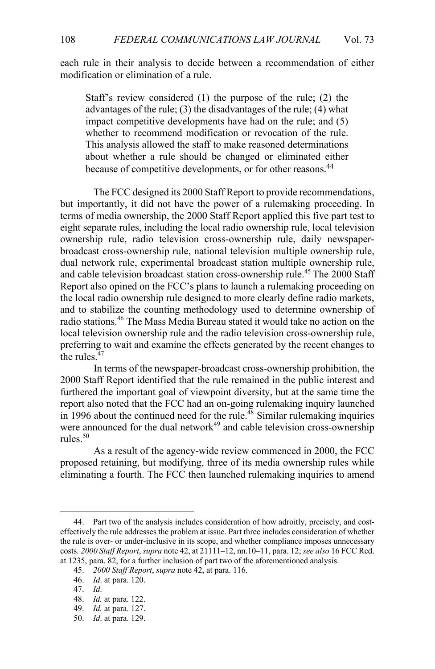each rule in their analysis to decide between a recommendation of either modification or elimination of a rule.

Staff's review considered (1) the purpose of the rule; (2) the advantages of the rule; (3) the disadvantages of the rule; (4) what impact competitive developments have had on the rule; and (5) whether to recommend modification or revocation of the rule. This analysis allowed the staff to make reasoned determinations about whether a rule should be changed or eliminated either because of competitive developments, or for other reasons.<sup>44</sup>

The FCC designed its 2000 Staff Report to provide recommendations, but importantly, it did not have the power of a rulemaking proceeding. In terms of media ownership, the 2000 Staff Report applied this five part test to eight separate rules, including the local radio ownership rule, local television ownership rule, radio television cross-ownership rule, daily newspaperbroadcast cross-ownership rule, national television multiple ownership rule, dual network rule, experimental broadcast station multiple ownership rule, and cable television broadcast station cross-ownership rule.<sup>45</sup> The 2000 Staff Report also opined on the FCC's plans to launch a rulemaking proceeding on the local radio ownership rule designed to more clearly define radio markets, and to stabilize the counting methodology used to determine ownership of radio stations.<sup>46</sup> The Mass Media Bureau stated it would take no action on the local television ownership rule and the radio television cross-ownership rule, preferring to wait and examine the effects generated by the recent changes to the rules. $47$ 

In terms of the newspaper-broadcast cross-ownership prohibition, the 2000 Staff Report identified that the rule remained in the public interest and furthered the important goal of viewpoint diversity, but at the same time the report also noted that the FCC had an on-going rulemaking inquiry launched  $\ln$  1996 about the continued need for the rule.<sup>48</sup> Similar rulemaking inquiries were announced for the dual network $49$  and cable television cross-ownership rules. $50$ 

As a result of the agency-wide review commenced in 2000, the FCC proposed retaining, but modifying, three of its media ownership rules while eliminating a fourth. The FCC then launched rulemaking inquiries to amend

<sup>44.</sup> Part two of the analysis includes consideration of how adroitly, precisely, and costeffectively the rule addresses the problem at issue. Part three includes consideration of whether the rule is over- or under-inclusive in its scope, and whether compliance imposes unnecessary costs. *2000 Staff Report*, *supra* note 42, at 21111–12, nn.10–11, para. 12; *see also* 16 FCC Rcd. at 1235, para. 82, for a further inclusion of part two of the aforementioned analysis.

<sup>45.</sup> *2000 Staff Report*, *supra* note 42, at para. 116.

<sup>46.</sup> *Id*. at para. 120.

<sup>47.</sup> *Id*.

<sup>48.</sup> *Id.* at para. 122.

<sup>49.</sup> *Id.* at para. 127.

<sup>50.</sup> *Id*. at para. 129.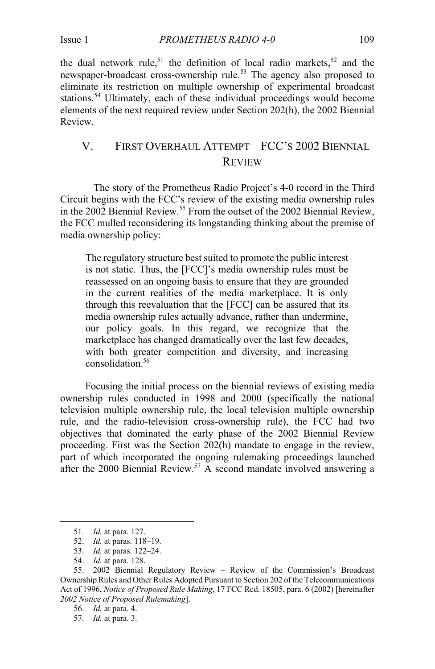the dual network rule,<sup>51</sup> the definition of local radio markets,<sup>52</sup> and the newspaper-broadcast cross-ownership rule.<sup>53</sup> The agency also proposed to eliminate its restriction on multiple ownership of experimental broadcast stations.<sup>54</sup> Ultimately, each of these individual proceedings would become elements of the next required review under Section 202(h), the 2002 Biennial Review.

# V. FIRST OVERHAUL ATTEMPT – FCC'S 2002 BIENNIAL REVIEW

The story of the Prometheus Radio Project's 4-0 record in the Third Circuit begins with the FCC's review of the existing media ownership rules in the 2002 Biennial Review.<sup>55</sup> From the outset of the 2002 Biennial Review, the FCC mulled reconsidering its longstanding thinking about the premise of media ownership policy:

The regulatory structure best suited to promote the public interest is not static. Thus, the [FCC]'s media ownership rules must be reassessed on an ongoing basis to ensure that they are grounded in the current realities of the media marketplace. It is only through this reevaluation that the [FCC] can be assured that its media ownership rules actually advance, rather than undermine, our policy goals. In this regard, we recognize that the marketplace has changed dramatically over the last few decades, with both greater competition and diversity, and increasing consolidation.56

Focusing the initial process on the biennial reviews of existing media ownership rules conducted in 1998 and 2000 (specifically the national television multiple ownership rule, the local television multiple ownership rule, and the radio-television cross-ownership rule), the FCC had two objectives that dominated the early phase of the 2002 Biennial Review proceeding. First was the Section 202(h) mandate to engage in the review, part of which incorporated the ongoing rulemaking proceedings launched after the 2000 Biennial Review.<sup>57</sup> A second mandate involved answering a

<sup>51.</sup> *Id.* at para. 127.

<sup>52.</sup> *Id.* at paras. 118–19.

<sup>53.</sup> *Id.* at paras. 122–24.

<sup>54.</sup> *Id.* at para. 128.

<sup>55.</sup> 2002 Biennial Regulatory Review – Review of the Commission's Broadcast Ownership Rules and Other Rules Adopted Pursuant to Section 202 of the Telecommunications Act of 1996, *Notice of Proposed Rule Making*, 17 FCC Rcd. 18505, para. 6 (2002) [hereinafter *2002 Notice of Proposed Rulemaking*].

<sup>56.</sup> *Id.* at para. 4.

<sup>57.</sup> *Id.* at para. 3.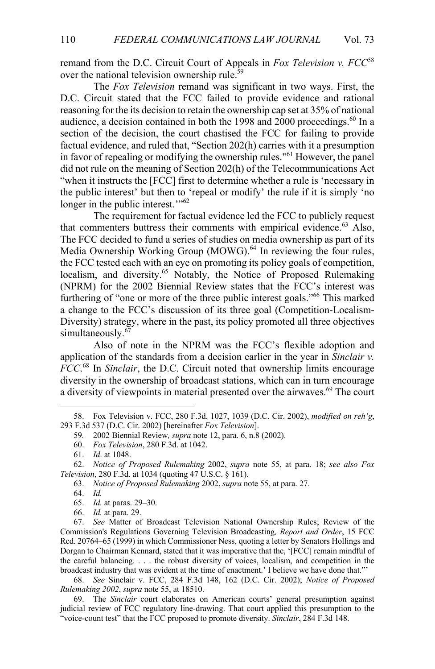remand from the D.C. Circuit Court of Appeals in *Fox Television v. FCC*<sup>58</sup> over the national television ownership rule.<sup>59</sup>

The *Fox Television* remand was significant in two ways. First, the D.C. Circuit stated that the FCC failed to provide evidence and rational reasoning for the its decision to retain the ownership cap set at 35% of national audience, a decision contained in both the 1998 and 2000 proceedings.<sup>60</sup> In a section of the decision, the court chastised the FCC for failing to provide factual evidence, and ruled that, "Section 202(h) carries with it a presumption in favor of repealing or modifying the ownership rules."<sup>61</sup> However, the panel did not rule on the meaning of Section 202(h) of the Telecommunications Act "when it instructs the [FCC] first to determine whether a rule is 'necessary in the public interest' but then to 'repeal or modify' the rule if it is simply 'no longer in the public interest."<sup>62</sup>

The requirement for factual evidence led the FCC to publicly request that commenters buttress their comments with empirical evidence.<sup>63</sup> Also, The FCC decided to fund a series of studies on media ownership as part of its Media Ownership Working Group (MOWG).<sup>64</sup> In reviewing the four rules, the FCC tested each with an eye on promoting its policy goals of competition, localism, and diversity.<sup>65</sup> Notably, the Notice of Proposed Rulemaking (NPRM) for the 2002 Biennial Review states that the FCC's interest was furthering of "one or more of the three public interest goals."66 This marked a change to the FCC's discussion of its three goal (Competition-Localism-Diversity) strategy, where in the past, its policy promoted all three objectives simultaneously.<sup>67</sup>

Also of note in the NPRM was the FCC's flexible adoption and application of the standards from a decision earlier in the year in *Sinclair v. FCC*. <sup>68</sup> In *Sinclair*, the D.C. Circuit noted that ownership limits encourage diversity in the ownership of broadcast stations, which can in turn encourage a diversity of viewpoints in material presented over the airwaves.<sup>69</sup> The court

63. *Notice of Proposed Rulemaking* 2002, *supra* note 55, at para. 27.

68. *See* Sinclair v. FCC, 284 F.3d 148, 162 (D.C. Cir. 2002); *Notice of Proposed Rulemaking 2002*, *supra* note 55, at 18510.

<sup>58.</sup> Fox Television v. FCC, 280 F.3d. 1027, 1039 (D.C. Cir. 2002), *modified on reh'g*, 293 F.3d 537 (D.C. Cir. 2002) [hereinafter *Fox Television*].

<sup>59</sup>*.* 2002 Biennial Review*, supra* note 12, para. 6, n.8 (2002).

<sup>60.</sup> *Fox Television*, 280 F.3d. at 1042.

<sup>61.</sup> *Id*. at 1048.

<sup>62.</sup> *Notice of Proposed Rulemaking* 2002, *supra* note 55, at para. 18; *see also Fox Television*, 280 F.3d. at 1034 (quoting 47 U.S.C. § 161).

<sup>64.</sup> *Id.*

<sup>65.</sup> *Id.* at paras. 29–30.

<sup>66.</sup> *Id.* at para. 29.

<sup>67.</sup> *See* Matter of Broadcast Television National Ownership Rules; Review of the Commission's Regulations Governing Television Broadcasting*, Report and Order*, 15 FCC Rcd. 20764–65 (1999) in which Commissioner Ness, quoting a letter by Senators Hollings and Dorgan to Chairman Kennard, stated that it was imperative that the, '[FCC] remain mindful of the careful balancing. . . . the robust diversity of voices, localism, and competition in the broadcast industry that was evident at the time of enactment.' I believe we have done that."'

<sup>69.</sup> The *Sinclair* court elaborates on American courts' general presumption against judicial review of FCC regulatory line-drawing. That court applied this presumption to the "voice-count test" that the FCC proposed to promote diversity. *Sinclair*, 284 F.3d 148.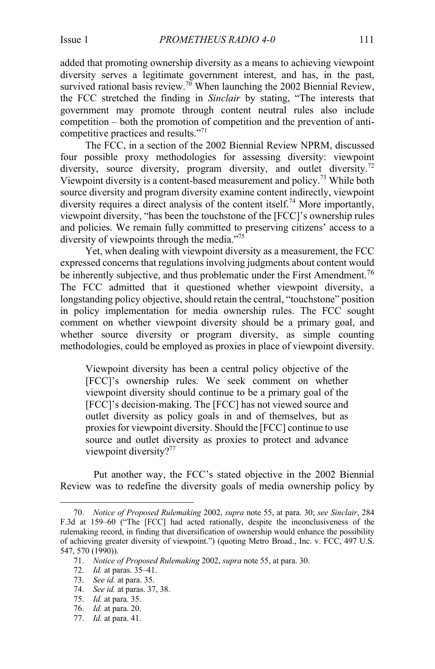added that promoting ownership diversity as a means to achieving viewpoint diversity serves a legitimate government interest, and has, in the past, survived rational basis review.<sup>70</sup> When launching the 2002 Biennial Review, the FCC stretched the finding in *Sinclair* by stating, "The interests that government may promote through content neutral rules also include competition – both the promotion of competition and the prevention of anticompetitive practices and results."<sup>71</sup>

The FCC, in a section of the 2002 Biennial Review NPRM, discussed four possible proxy methodologies for assessing diversity: viewpoint diversity, source diversity, program diversity, and outlet diversity.<sup>72</sup> Viewpoint diversity is a content-based measurement and policy.<sup>73</sup> While both source diversity and program diversity examine content indirectly, viewpoint diversity requires a direct analysis of the content itself.<sup>74</sup> More importantly, viewpoint diversity, "has been the touchstone of the [FCC]'s ownership rules and policies. We remain fully committed to preserving citizens' access to a diversity of viewpoints through the media."<sup>75</sup>

Yet, when dealing with viewpoint diversity as a measurement, the FCC expressed concerns that regulations involving judgments about content would be inherently subjective, and thus problematic under the First Amendment.<sup>76</sup> The FCC admitted that it questioned whether viewpoint diversity, a longstanding policy objective, should retain the central, "touchstone" position in policy implementation for media ownership rules. The FCC sought comment on whether viewpoint diversity should be a primary goal, and whether source diversity or program diversity, as simple counting methodologies, could be employed as proxies in place of viewpoint diversity.

Viewpoint diversity has been a central policy objective of the [FCC]'s ownership rules. We seek comment on whether viewpoint diversity should continue to be a primary goal of the [FCC]'s decision-making. The [FCC] has not viewed source and outlet diversity as policy goals in and of themselves, but as proxies for viewpoint diversity. Should the [FCC] continue to use source and outlet diversity as proxies to protect and advance viewpoint diversity?<sup>77</sup>

Put another way, the FCC's stated objective in the 2002 Biennial Review was to redefine the diversity goals of media ownership policy by

- 73. *See id.* at para. 35.
- 74. *See id.* at paras. 37, 38.
- 75. *Id.* at para. 35.
- 76. *Id.* at para. 20.
- 77. *Id.* at para. 41.

<sup>70.</sup> *Notice of Proposed Rulemaking* 2002, *supra* note 55, at para. 30; *see Sinclair*, 284 F.3d at 159–60 ("The [FCC] had acted rationally, despite the inconclusiveness of the rulemaking record, in finding that diversification of ownership would enhance the possibility of achieving greater diversity of viewpoint.") (quoting Metro Broad., Inc. v. FCC, 497 U.S. 547, 570 (1990)).

<sup>71.</sup> *Notice of Proposed Rulemaking* 2002, *supra* note 55, at para. 30.

<sup>72.</sup> *Id.* at paras. 35–41.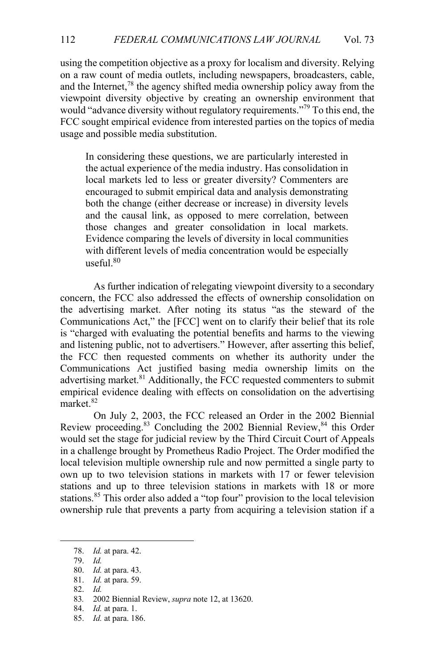using the competition objective as a proxy for localism and diversity. Relying on a raw count of media outlets, including newspapers, broadcasters, cable, and the Internet, $^{78}$  the agency shifted media ownership policy away from the viewpoint diversity objective by creating an ownership environment that would "advance diversity without regulatory requirements."<sup>79</sup> To this end, the FCC sought empirical evidence from interested parties on the topics of media usage and possible media substitution.

In considering these questions, we are particularly interested in the actual experience of the media industry. Has consolidation in local markets led to less or greater diversity? Commenters are encouraged to submit empirical data and analysis demonstrating both the change (either decrease or increase) in diversity levels and the causal link, as opposed to mere correlation, between those changes and greater consolidation in local markets. Evidence comparing the levels of diversity in local communities with different levels of media concentration would be especially useful.80

As further indication of relegating viewpoint diversity to a secondary concern, the FCC also addressed the effects of ownership consolidation on the advertising market. After noting its status "as the steward of the Communications Act," the [FCC] went on to clarify their belief that its role is "charged with evaluating the potential benefits and harms to the viewing and listening public, not to advertisers." However, after asserting this belief, the FCC then requested comments on whether its authority under the Communications Act justified basing media ownership limits on the advertising market.<sup>81</sup> Additionally, the FCC requested commenters to submit empirical evidence dealing with effects on consolidation on the advertising market.<sup>82</sup>

On July 2, 2003, the FCC released an Order in the 2002 Biennial Review proceeding.<sup>83</sup> Concluding the 2002 Biennial Review,<sup>84</sup> this Order would set the stage for judicial review by the Third Circuit Court of Appeals in a challenge brought by Prometheus Radio Project. The Order modified the local television multiple ownership rule and now permitted a single party to own up to two television stations in markets with 17 or fewer television stations and up to three television stations in markets with 18 or more stations.<sup>85</sup> This order also added a "top four" provision to the local television ownership rule that prevents a party from acquiring a television station if a

82. *Id.*

85. *Id.* at para. 186.

<sup>78.</sup> *Id.* at para. 42.

<sup>79.</sup> *Id.*

<sup>80.</sup> *Id.* at para. 43.

<sup>81.</sup> *Id.* at para. 59.

<sup>83</sup>*.* 2002 Biennial Review, *supra* note 12, at 13620.

<sup>84.</sup> *Id.* at para. 1.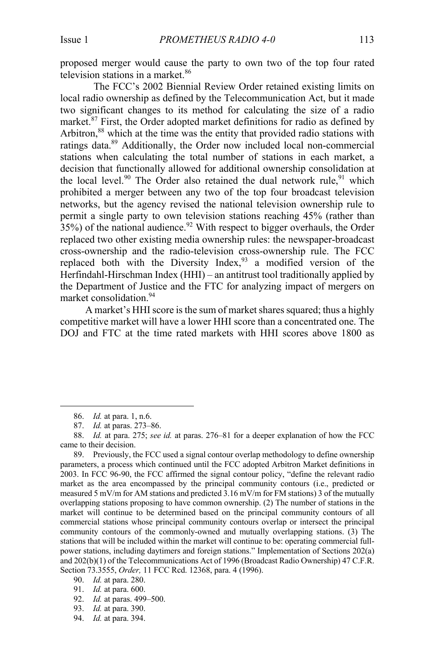proposed merger would cause the party to own two of the top four rated television stations in a market.<sup>86</sup>

The FCC's 2002 Biennial Review Order retained existing limits on local radio ownership as defined by the Telecommunication Act, but it made two significant changes to its method for calculating the size of a radio market.<sup>87</sup> First, the Order adopted market definitions for radio as defined by Arbitron, <sup>88</sup> which at the time was the entity that provided radio stations with ratings data.<sup>89</sup> Additionally, the Order now included local non-commercial stations when calculating the total number of stations in each market, a decision that functionally allowed for additional ownership consolidation at the local level.<sup>90</sup> The Order also retained the dual network rule,<sup>91</sup> which prohibited a merger between any two of the top four broadcast television networks, but the agency revised the national television ownership rule to permit a single party to own television stations reaching 45% (rather than  $35\%$ ) of the national audience.<sup>92</sup> With respect to bigger overhauls, the Order replaced two other existing media ownership rules: the newspaper-broadcast cross-ownership and the radio-television cross-ownership rule. The FCC replaced both with the Diversity Index,  $93$  a modified version of the Herfindahl-Hirschman Index (HHI) – an antitrust tool traditionally applied by the Department of Justice and the FTC for analyzing impact of mergers on market consolidation. 94

A market's HHI score is the sum of market shares squared; thus a highly competitive market will have a lower HHI score than a concentrated one. The DOJ and FTC at the time rated markets with HHI scores above 1800 as

- 92. *Id.* at paras. 499–500.
- 93. *Id.* at para. 390.
- 94. *Id.* at para. 394.

<sup>86.</sup> *Id.* at para. 1, n.6.

<sup>87.</sup> *Id.* at paras. 273–86.

<sup>88.</sup> *Id.* at para. 275; *see id.* at paras. 276–81 for a deeper explanation of how the FCC came to their decision.

<sup>89.</sup> Previously, the FCC used a signal contour overlap methodology to define ownership parameters, a process which continued until the FCC adopted Arbitron Market definitions in 2003. In FCC 96-90, the FCC affirmed the signal contour policy, "define the relevant radio market as the area encompassed by the principal community contours (i.e., predicted or measured 5 mV/m for AM stations and predicted 3.16 mV/m for FM stations) 3 of the mutually overlapping stations proposing to have common ownership. (2) The number of stations in the market will continue to be determined based on the principal community contours of all commercial stations whose principal community contours overlap or intersect the principal community contours of the commonly-owned and mutually overlapping stations. (3) The stations that will be included within the market will continue to be: operating commercial fullpower stations, including daytimers and foreign stations." Implementation of Sections 202(a) and 202(b)(1) of the Telecommunications Act of 1996 (Broadcast Radio Ownership) 47 C.F.R. Section 73.3555, *Order,* 11 FCC Rcd. 12368, para. 4 (1996).

<sup>90.</sup> *Id.* at para. 280.

<sup>91.</sup> *Id.* at para. 600.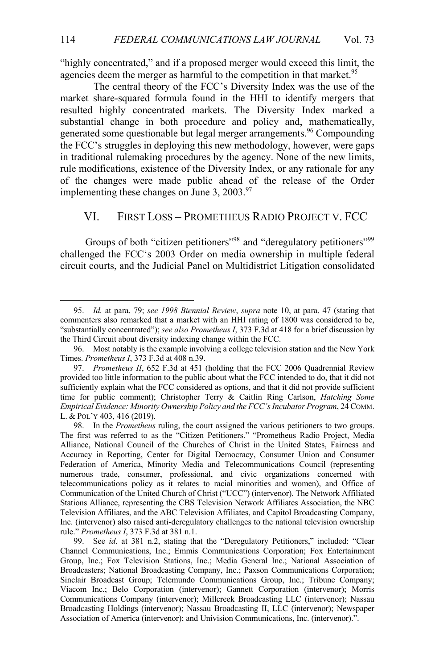"highly concentrated," and if a proposed merger would exceed this limit, the agencies deem the merger as harmful to the competition in that market.<sup>95</sup>

The central theory of the FCC's Diversity Index was the use of the market share-squared formula found in the HHI to identify mergers that resulted highly concentrated markets. The Diversity Index marked a substantial change in both procedure and policy and, mathematically, generated some questionable but legal merger arrangements.<sup>96</sup> Compounding the FCC's struggles in deploying this new methodology, however, were gaps in traditional rulemaking procedures by the agency. None of the new limits, rule modifications, existence of the Diversity Index, or any rationale for any of the changes were made public ahead of the release of the Order implementing these changes on June 3,  $2003.^{97}$ 

#### VI. FIRST LOSS – PROMETHEUS RADIO PROJECT V. FCC

Groups of both "citizen petitioners"<sup>98</sup> and "deregulatory petitioners"<sup>99</sup> challenged the FCC's 2003 Order on media ownership in multiple federal circuit courts, and the Judicial Panel on Multidistrict Litigation consolidated

<sup>95.</sup> *Id.* at para. 79; *see 1998 Biennial Review*, *supra* note 10, at para. 47 (stating that commenters also remarked that a market with an HHI rating of 1800 was considered to be, "substantially concentrated"); *see also Prometheus I*, 373 F.3d at 418 for a brief discussion by the Third Circuit about diversity indexing change within the FCC.

<sup>96.</sup> Most notably is the example involving a college television station and the New York Times. *Prometheus I*, 373 F.3d at 408 n.39.

<sup>97.</sup> *Prometheus II*, 652 F.3d at 451 (holding that the FCC 2006 Quadrennial Review provided too little information to the public about what the FCC intended to do, that it did not sufficiently explain what the FCC considered as options, and that it did not provide sufficient time for public comment); Christopher Terry & Caitlin Ring Carlson, *Hatching Some Empirical Evidence: Minority Ownership Policy and the FCC's Incubator Program*, 24 COMM. L. & POL'Y 403, 416 (2019).

<sup>98.</sup> In the *Prometheus* ruling, the court assigned the various petitioners to two groups. The first was referred to as the "Citizen Petitioners." "Prometheus Radio Project, Media Alliance, National Council of the Churches of Christ in the United States, Fairness and Accuracy in Reporting, Center for Digital Democracy, Consumer Union and Consumer Federation of America, Minority Media and Telecommunications Council (representing numerous trade, consumer, professional, and civic organizations concerned with telecommunications policy as it relates to racial minorities and women), and Office of Communication of the United Church of Christ ("UCC") (intervenor). The Network Affiliated Stations Alliance, representing the CBS Television Network Affiliates Association, the NBC Television Affiliates, and the ABC Television Affiliates, and Capitol Broadcasting Company, Inc. (intervenor) also raised anti-deregulatory challenges to the national television ownership rule." *Prometheus I*, 373 F.3d at 381 n.1.

<sup>99.</sup> See *id*. at 381 n.2, stating that the "Deregulatory Petitioners," included: "Clear Channel Communications, Inc.; Emmis Communications Corporation; Fox Entertainment Group, Inc.; Fox Television Stations, Inc.; Media General Inc.; National Association of Broadcasters; National Broadcasting Company, Inc.; Paxson Communications Corporation; Sinclair Broadcast Group; Telemundo Communications Group, Inc.; Tribune Company; Viacom Inc.; Belo Corporation (intervenor); Gannett Corporation (intervenor); Morris Communications Company (intervenor); Millcreek Broadcasting LLC (intervenor); Nassau Broadcasting Holdings (intervenor); Nassau Broadcasting II, LLC (intervenor); Newspaper Association of America (intervenor); and Univision Communications, Inc. (intervenor).".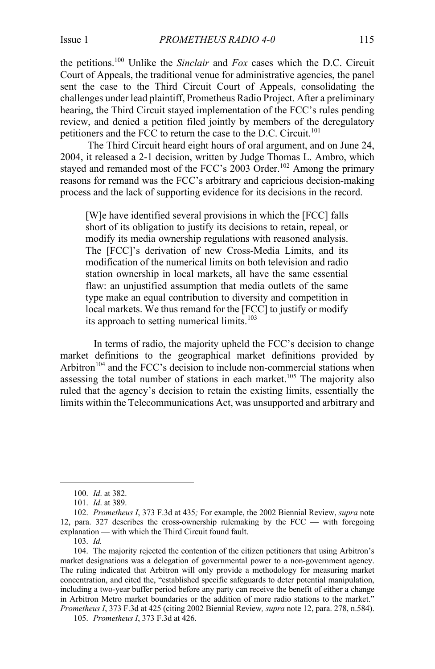the petitions.100 Unlike the *Sinclair* and *Fox* cases which the D.C. Circuit Court of Appeals, the traditional venue for administrative agencies, the panel sent the case to the Third Circuit Court of Appeals, consolidating the challenges under lead plaintiff, Prometheus Radio Project. After a preliminary hearing, the Third Circuit stayed implementation of the FCC's rules pending review, and denied a petition filed jointly by members of the deregulatory petitioners and the FCC to return the case to the D.C. Circuit.<sup>101</sup>

The Third Circuit heard eight hours of oral argument, and on June 24, 2004, it released a 2-1 decision, written by Judge Thomas L. Ambro, which stayed and remanded most of the FCC's 2003 Order.<sup>102</sup> Among the primary reasons for remand was the FCC's arbitrary and capricious decision-making process and the lack of supporting evidence for its decisions in the record.

[W]e have identified several provisions in which the [FCC] falls short of its obligation to justify its decisions to retain, repeal, or modify its media ownership regulations with reasoned analysis. The [FCC]'s derivation of new Cross-Media Limits, and its modification of the numerical limits on both television and radio station ownership in local markets, all have the same essential flaw: an unjustified assumption that media outlets of the same type make an equal contribution to diversity and competition in local markets. We thus remand for the [FCC] to justify or modify its approach to setting numerical limits.<sup>103</sup>

In terms of radio, the majority upheld the FCC's decision to change market definitions to the geographical market definitions provided by Arbitron<sup> $104$ </sup> and the FCC's decision to include non-commercial stations when assessing the total number of stations in each market.<sup>105</sup> The majority also ruled that the agency's decision to retain the existing limits, essentially the limits within the Telecommunications Act, was unsupported and arbitrary and

105. *Prometheus I*, 373 F.3d at 426.

<sup>100.</sup> *Id*. at 382.

<sup>101.</sup> *Id*. at 389.

<sup>102.</sup> *Prometheus I*, 373 F.3d at 435*;* For example, the 2002 Biennial Review, *supra* note 12, para. 327 describes the cross-ownership rulemaking by the FCC — with foregoing explanation — with which the Third Circuit found fault.

<sup>103.</sup> *Id.*

<sup>104.</sup> The majority rejected the contention of the citizen petitioners that using Arbitron's market designations was a delegation of governmental power to a non-government agency. The ruling indicated that Arbitron will only provide a methodology for measuring market concentration, and cited the, "established specific safeguards to deter potential manipulation, including a two-year buffer period before any party can receive the benefit of either a change in Arbitron Metro market boundaries or the addition of more radio stations to the market." *Prometheus I*, 373 F.3d at 425 (citing 2002 Biennial Review*, supra* note 12, para. 278, n.584).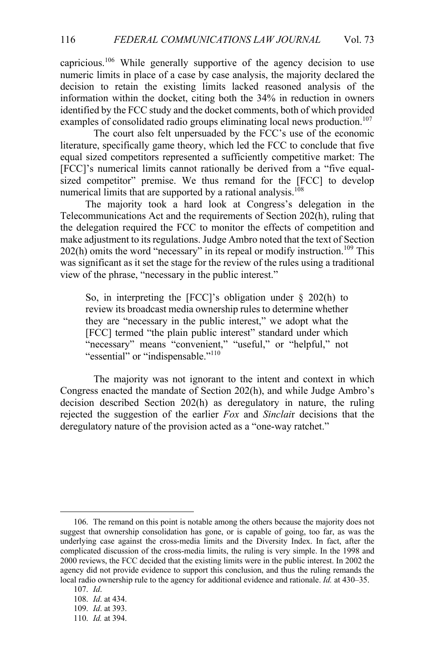capricious.<sup>106</sup> While generally supportive of the agency decision to use numeric limits in place of a case by case analysis, the majority declared the decision to retain the existing limits lacked reasoned analysis of the information within the docket, citing both the 34% in reduction in owners identified by the FCC study and the docket comments, both of which provided examples of consolidated radio groups eliminating local news production.<sup>107</sup>

The court also felt unpersuaded by the FCC's use of the economic literature, specifically game theory, which led the FCC to conclude that five equal sized competitors represented a sufficiently competitive market: The [FCC]'s numerical limits cannot rationally be derived from a "five equalsized competitor" premise. We thus remand for the [FCC] to develop numerical limits that are supported by a rational analysis.<sup>108</sup>

The majority took a hard look at Congress's delegation in the Telecommunications Act and the requirements of Section 202(h), ruling that the delegation required the FCC to monitor the effects of competition and make adjustment to its regulations. Judge Ambro noted that the text of Section  $202(h)$  omits the word "necessary" in its repeal or modify instruction.<sup>109</sup> This was significant as it set the stage for the review of the rules using a traditional view of the phrase, "necessary in the public interest."

So, in interpreting the [FCC]'s obligation under § 202(h) to review its broadcast media ownership rules to determine whether they are "necessary in the public interest," we adopt what the [FCC] termed "the plain public interest" standard under which "necessary" means "convenient," "useful," or "helpful," not "essential" or "indispensable."<sup>110</sup>

The majority was not ignorant to the intent and context in which Congress enacted the mandate of Section 202(h), and while Judge Ambro's decision described Section 202(h) as deregulatory in nature, the ruling rejected the suggestion of the earlier *Fox* and *Sinclai*r decisions that the deregulatory nature of the provision acted as a "one-way ratchet."

<sup>106.</sup> The remand on this point is notable among the others because the majority does not suggest that ownership consolidation has gone, or is capable of going, too far, as was the underlying case against the cross-media limits and the Diversity Index. In fact, after the complicated discussion of the cross-media limits, the ruling is very simple. In the 1998 and 2000 reviews, the FCC decided that the existing limits were in the public interest. In 2002 the agency did not provide evidence to support this conclusion, and thus the ruling remands the local radio ownership rule to the agency for additional evidence and rationale. *Id.* at 430–35.

<sup>107.</sup> *Id*.

<sup>108.</sup> *Id*. at 434.

<sup>109.</sup> *Id*. at 393.

<sup>110.</sup> *Id.* at 394.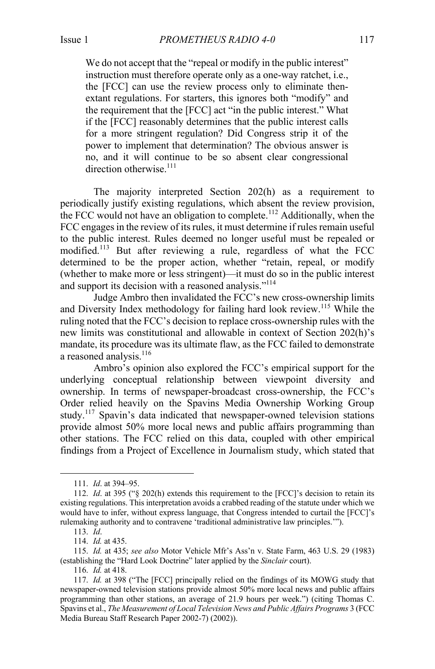We do not accept that the "repeal or modify in the public interest" instruction must therefore operate only as a one-way ratchet, i.e., the [FCC] can use the review process only to eliminate thenextant regulations. For starters, this ignores both "modify" and the requirement that the [FCC] act "in the public interest." What if the [FCC] reasonably determines that the public interest calls for a more stringent regulation? Did Congress strip it of the power to implement that determination? The obvious answer is no, and it will continue to be so absent clear congressional direction otherwise.<sup>111</sup>

The majority interpreted Section 202(h) as a requirement to periodically justify existing regulations, which absent the review provision, the FCC would not have an obligation to complete.<sup>112</sup> Additionally, when the FCC engages in the review of its rules, it must determine if rules remain useful to the public interest. Rules deemed no longer useful must be repealed or modified.<sup>113</sup> But after reviewing a rule, regardless of what the FCC determined to be the proper action, whether "retain, repeal, or modify (whether to make more or less stringent)—it must do so in the public interest and support its decision with a reasoned analysis."<sup>114</sup>

Judge Ambro then invalidated the FCC's new cross-ownership limits and Diversity Index methodology for failing hard look review.<sup>115</sup> While the ruling noted that the FCC's decision to replace cross-ownership rules with the new limits was constitutional and allowable in context of Section 202(h)'s mandate, its procedure was its ultimate flaw, as the FCC failed to demonstrate a reasoned analysis.<sup>116</sup>

Ambro's opinion also explored the FCC's empirical support for the underlying conceptual relationship between viewpoint diversity and ownership. In terms of newspaper-broadcast cross-ownership, the FCC's Order relied heavily on the Spavins Media Ownership Working Group study.<sup>117</sup> Spavin's data indicated that newspaper-owned television stations provide almost 50% more local news and public affairs programming than other stations. The FCC relied on this data, coupled with other empirical findings from a Project of Excellence in Journalism study, which stated that

<sup>111.</sup> *Id*. at 394–95.

<sup>112.</sup> *Id*. at 395 ("§ 202(h) extends this requirement to the [FCC]'s decision to retain its existing regulations. This interpretation avoids a crabbed reading of the statute under which we would have to infer, without express language, that Congress intended to curtail the [FCC]'s rulemaking authority and to contravene 'traditional administrative law principles.'").

<sup>113.</sup> *Id*.

<sup>114.</sup> *Id.* at 435.

<sup>115.</sup> *Id.* at 435; *see also* Motor Vehicle Mfr's Ass'n v. State Farm, 463 U.S. 29 (1983) (establishing the "Hard Look Doctrine" later applied by the *Sinclair* court).

<sup>116.</sup> *Id.* at 418.

<sup>117.</sup> *Id.* at 398 ("The [FCC] principally relied on the findings of its MOWG study that newspaper-owned television stations provide almost 50% more local news and public affairs programming than other stations, an average of 21.9 hours per week.") (citing Thomas C. Spavins et al., *The Measurement of Local Television News and Public Affairs Programs* 3 (FCC Media Bureau Staff Research Paper 2002-7) (2002)).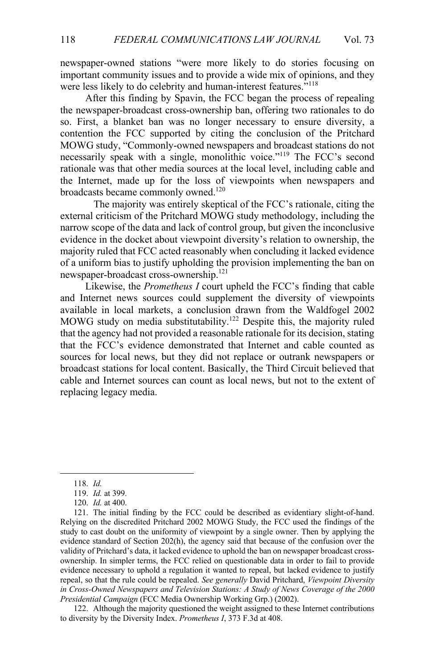newspaper-owned stations "were more likely to do stories focusing on important community issues and to provide a wide mix of opinions, and they were less likely to do celebrity and human-interest features."<sup>118</sup>

After this finding by Spavin, the FCC began the process of repealing the newspaper-broadcast cross-ownership ban, offering two rationales to do so. First, a blanket ban was no longer necessary to ensure diversity, a contention the FCC supported by citing the conclusion of the Pritchard MOWG study, "Commonly-owned newspapers and broadcast stations do not necessarily speak with a single, monolithic voice."<sup>119</sup> The FCC's second rationale was that other media sources at the local level, including cable and the Internet, made up for the loss of viewpoints when newspapers and broadcasts became commonly owned.<sup>120</sup>

The majority was entirely skeptical of the FCC's rationale, citing the external criticism of the Pritchard MOWG study methodology, including the narrow scope of the data and lack of control group, but given the inconclusive evidence in the docket about viewpoint diversity's relation to ownership, the majority ruled that FCC acted reasonably when concluding it lacked evidence of a uniform bias to justify upholding the provision implementing the ban on newspaper-broadcast cross-ownership.<sup>121</sup>

Likewise, the *Prometheus I* court upheld the FCC's finding that cable and Internet news sources could supplement the diversity of viewpoints available in local markets, a conclusion drawn from the Waldfogel 2002 MOWG study on media substitutability.<sup>122</sup> Despite this, the majority ruled that the agency had not provided a reasonable rationale for its decision, stating that the FCC's evidence demonstrated that Internet and cable counted as sources for local news, but they did not replace or outrank newspapers or broadcast stations for local content. Basically, the Third Circuit believed that cable and Internet sources can count as local news, but not to the extent of replacing legacy media.

122. Although the majority questioned the weight assigned to these Internet contributions to diversity by the Diversity Index. *Prometheus I*, 373 F.3d at 408.

<sup>118.</sup> *Id.*

<sup>119.</sup> *Id.* at 399.

<sup>120.</sup> *Id.* at 400.

<sup>121.</sup> The initial finding by the FCC could be described as evidentiary slight-of-hand. Relying on the discredited Pritchard 2002 MOWG Study, the FCC used the findings of the study to cast doubt on the uniformity of viewpoint by a single owner. Then by applying the evidence standard of Section 202(h), the agency said that because of the confusion over the validity of Pritchard's data, it lacked evidence to uphold the ban on newspaper broadcast crossownership. In simpler terms, the FCC relied on questionable data in order to fail to provide evidence necessary to uphold a regulation it wanted to repeal, but lacked evidence to justify repeal, so that the rule could be repealed. *See generally* David Pritchard, *Viewpoint Diversity in Cross-Owned Newspapers and Television Stations: A Study of News Coverage of the 2000 Presidential Campaign* (FCC Media Ownership Working Grp.) (2002).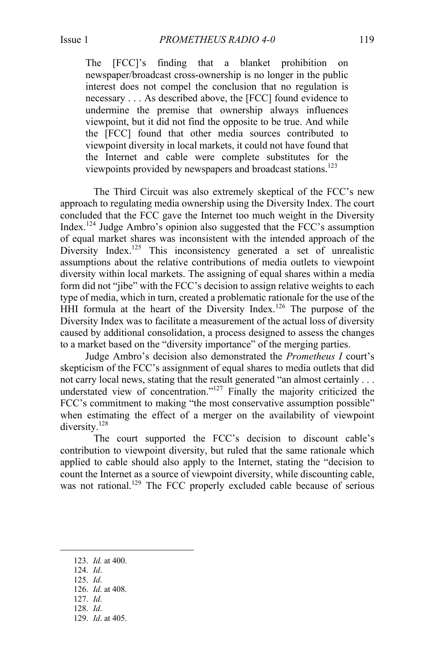The [FCC]'s finding that a blanket prohibition on newspaper/broadcast cross-ownership is no longer in the public interest does not compel the conclusion that no regulation is necessary . . . As described above, the [FCC] found evidence to undermine the premise that ownership always influences viewpoint, but it did not find the opposite to be true. And while the [FCC] found that other media sources contributed to viewpoint diversity in local markets, it could not have found that the Internet and cable were complete substitutes for the viewpoints provided by newspapers and broadcast stations.<sup>123</sup>

The Third Circuit was also extremely skeptical of the FCC's new approach to regulating media ownership using the Diversity Index. The court concluded that the FCC gave the Internet too much weight in the Diversity Index. <sup>124</sup> Judge Ambro's opinion also suggested that the FCC's assumption of equal market shares was inconsistent with the intended approach of the Diversity Index.<sup>125</sup> This inconsistency generated a set of unrealistic assumptions about the relative contributions of media outlets to viewpoint diversity within local markets. The assigning of equal shares within a media form did not "jibe" with the FCC's decision to assign relative weights to each type of media, which in turn, created a problematic rationale for the use of the HHI formula at the heart of the Diversity Index.<sup>126</sup> The purpose of the Diversity Index was to facilitate a measurement of the actual loss of diversity caused by additional consolidation, a process designed to assess the changes to a market based on the "diversity importance" of the merging parties.

Judge Ambro's decision also demonstrated the *Prometheus I* court's skepticism of the FCC's assignment of equal shares to media outlets that did not carry local news, stating that the result generated "an almost certainly . . . understated view of concentration."<sup>127</sup> Finally the majority criticized the FCC's commitment to making "the most conservative assumption possible" when estimating the effect of a merger on the availability of viewpoint diversity.<sup>128</sup>

The court supported the FCC's decision to discount cable's contribution to viewpoint diversity, but ruled that the same rationale which applied to cable should also apply to the Internet, stating the "decision to count the Internet as a source of viewpoint diversity, while discounting cable, was not rational.<sup>129</sup> The FCC properly excluded cable because of serious

- 124. *Id*.
- 125. *Id*.
- 126. *Id*. at 408.
- 127. *Id*.
- 128. *Id*.
- 129. *Id*. at 405.

<sup>123.</sup> *Id.* at 400.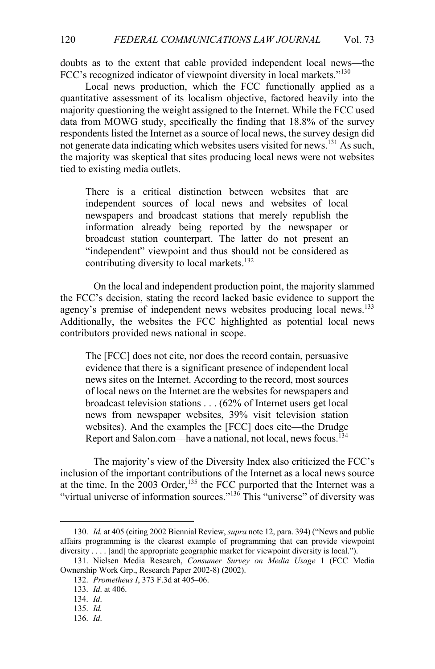doubts as to the extent that cable provided independent local news—the FCC's recognized indicator of viewpoint diversity in local markets."<sup>130</sup>

Local news production, which the FCC functionally applied as a quantitative assessment of its localism objective, factored heavily into the majority questioning the weight assigned to the Internet. While the FCC used data from MOWG study, specifically the finding that 18.8% of the survey respondents listed the Internet as a source of local news, the survey design did not generate data indicating which websites users visited for news.131 As such, the majority was skeptical that sites producing local news were not websites tied to existing media outlets.

There is a critical distinction between websites that are independent sources of local news and websites of local newspapers and broadcast stations that merely republish the information already being reported by the newspaper or broadcast station counterpart. The latter do not present an "independent" viewpoint and thus should not be considered as contributing diversity to local markets.<sup>132</sup>

On the local and independent production point, the majority slammed the FCC's decision, stating the record lacked basic evidence to support the agency's premise of independent news websites producing local news.<sup>133</sup> Additionally, the websites the FCC highlighted as potential local news contributors provided news national in scope.

The [FCC] does not cite, nor does the record contain, persuasive evidence that there is a significant presence of independent local news sites on the Internet. According to the record, most sources of local news on the Internet are the websites for newspapers and broadcast television stations . . . (62% of Internet users get local news from newspaper websites, 39% visit television station websites). And the examples the [FCC] does cite—the Drudge Report and Salon.com—have a national, not local, news focus.<sup>134</sup>

The majority's view of the Diversity Index also criticized the FCC's inclusion of the important contributions of the Internet as a local news source at the time. In the  $2003$  Order,<sup>135</sup> the FCC purported that the Internet was a "virtual universe of information sources."<sup>136</sup> This "universe" of diversity was

<sup>130.</sup> *Id.* at 405 (citing 2002 Biennial Review, *supra* note 12, para. 394) ("News and public affairs programming is the clearest example of programming that can provide viewpoint diversity . . . . [and] the appropriate geographic market for viewpoint diversity is local.").

<sup>131.</sup> Nielsen Media Research, *Consumer Survey on Media Usage* 1 (FCC Media Ownership Work Grp., Research Paper 2002-8) (2002).

<sup>132.</sup> *Prometheus I*, 373 F.3d at 405–06.

<sup>133.</sup> *Id*. at 406.

<sup>134.</sup> *Id*.

<sup>135.</sup> *Id.*

<sup>136.</sup> *Id*.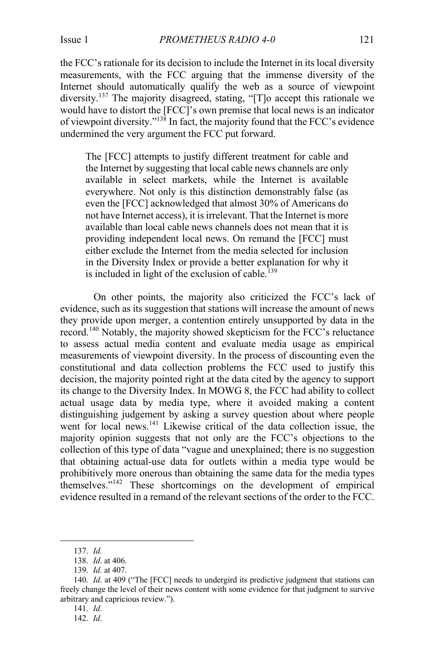the FCC's rationale for its decision to include the Internet in its local diversity measurements, with the FCC arguing that the immense diversity of the Internet should automatically qualify the web as a source of viewpoint diversity.<sup>137</sup> The majority disagreed, stating, "[T]o accept this rationale we would have to distort the [FCC]'s own premise that local news is an indicator of viewpoint diversity."138 In fact, the majority found that the FCC's evidence undermined the very argument the FCC put forward.

The [FCC] attempts to justify different treatment for cable and the Internet by suggesting that local cable news channels are only available in select markets, while the Internet is available everywhere. Not only is this distinction demonstrably false (as even the [FCC] acknowledged that almost 30% of Americans do not have Internet access), it is irrelevant. That the Internet is more available than local cable news channels does not mean that it is providing independent local news. On remand the [FCC] must either exclude the Internet from the media selected for inclusion in the Diversity Index or provide a better explanation for why it is included in light of the exclusion of cable.<sup>139</sup>

On other points, the majority also criticized the FCC's lack of evidence, such as its suggestion that stations will increase the amount of news they provide upon merger, a contention entirely unsupported by data in the record.<sup>140</sup> Notably, the majority showed skepticism for the FCC's reluctance to assess actual media content and evaluate media usage as empirical measurements of viewpoint diversity. In the process of discounting even the constitutional and data collection problems the FCC used to justify this decision, the majority pointed right at the data cited by the agency to support its change to the Diversity Index. In MOWG 8, the FCC had ability to collect actual usage data by media type, where it avoided making a content distinguishing judgement by asking a survey question about where people went for local news.<sup>141</sup> Likewise critical of the data collection issue, the majority opinion suggests that not only are the FCC's objections to the collection of this type of data "vague and unexplained; there is no suggestion that obtaining actual-use data for outlets within a media type would be prohibitively more onerous than obtaining the same data for the media types themselves."<sup>142</sup> These shortcomings on the development of empirical evidence resulted in a remand of the relevant sections of the order to the FCC.

<sup>137.</sup> *Id.*

<sup>138.</sup> *Id*. at 406.

<sup>139.</sup> *Id*. at 407.

<sup>140.</sup> *Id*. at 409 ("The [FCC] needs to undergird its predictive judgment that stations can freely change the level of their news content with some evidence for that judgment to survive arbitrary and capricious review.").

<sup>141.</sup> *Id*.

<sup>142.</sup> *Id*.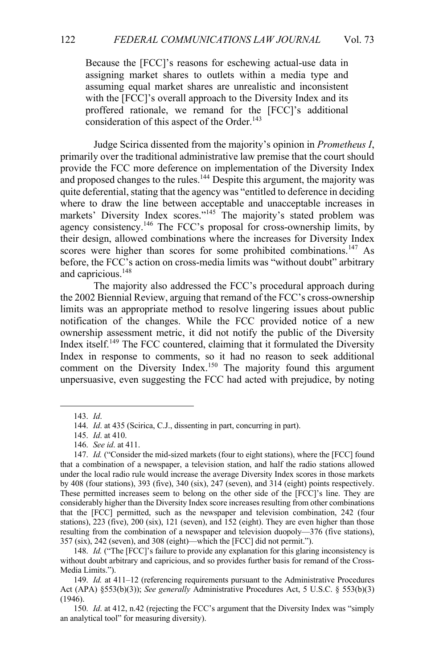Because the [FCC]'s reasons for eschewing actual-use data in assigning market shares to outlets within a media type and assuming equal market shares are unrealistic and inconsistent with the [FCC]'s overall approach to the Diversity Index and its proffered rationale, we remand for the [FCC]'s additional consideration of this aspect of the Order.<sup>143</sup>

Judge Scirica dissented from the majority's opinion in *Prometheus I*, primarily over the traditional administrative law premise that the court should provide the FCC more deference on implementation of the Diversity Index and proposed changes to the rules.<sup>144</sup> Despite this argument, the majority was quite deferential, stating that the agency was "entitled to deference in deciding where to draw the line between acceptable and unacceptable increases in markets' Diversity Index scores."<sup>145</sup> The majority's stated problem was agency consistency.146 The FCC's proposal for cross-ownership limits, by their design, allowed combinations where the increases for Diversity Index scores were higher than scores for some prohibited combinations.<sup>147</sup> As before, the FCC's action on cross-media limits was "without doubt" arbitrary and capricious.<sup>148</sup>

The majority also addressed the FCC's procedural approach during the 2002 Biennial Review, arguing that remand of the FCC's cross-ownership limits was an appropriate method to resolve lingering issues about public notification of the changes. While the FCC provided notice of a new ownership assessment metric, it did not notify the public of the Diversity Index itself.<sup>149</sup> The FCC countered, claiming that it formulated the Diversity Index in response to comments, so it had no reason to seek additional comment on the Diversity Index.<sup>150</sup> The majority found this argument unpersuasive, even suggesting the FCC had acted with prejudice, by noting

<sup>143.</sup> *Id*.

<sup>144.</sup> *Id*. at 435 (Scirica, C.J., dissenting in part, concurring in part).

<sup>145.</sup> *Id*. at 410.

<sup>146.</sup> *See id*. at 411.

<sup>147.</sup> *Id.* ("Consider the mid-sized markets (four to eight stations), where the [FCC] found that a combination of a newspaper, a television station, and half the radio stations allowed under the local radio rule would increase the average Diversity Index scores in those markets by 408 (four stations), 393 (five), 340 (six), 247 (seven), and 314 (eight) points respectively. These permitted increases seem to belong on the other side of the [FCC]'s line. They are considerably higher than the Diversity Index score increases resulting from other combinations that the [FCC] permitted, such as the newspaper and television combination, 242 (four stations), 223 (five), 200 (six), 121 (seven), and 152 (eight). They are even higher than those resulting from the combination of a newspaper and television duopoly—376 (five stations), 357 (six), 242 (seven), and 308 (eight)—which the [FCC] did not permit.").

<sup>148.</sup> *Id.* ("The [FCC]'s failure to provide any explanation for this glaring inconsistency is without doubt arbitrary and capricious, and so provides further basis for remand of the Cross-Media Limits.").

<sup>149.</sup> *Id.* at 411–12 (referencing requirements pursuant to the Administrative Procedures Act (APA) §553(b)(3)); *See generally* Administrative Procedures Act, 5 U.S.C. § 553(b)(3)  $(1946)$ .

<sup>150.</sup> *Id*. at 412, n.42 (rejecting the FCC's argument that the Diversity Index was "simply an analytical tool" for measuring diversity).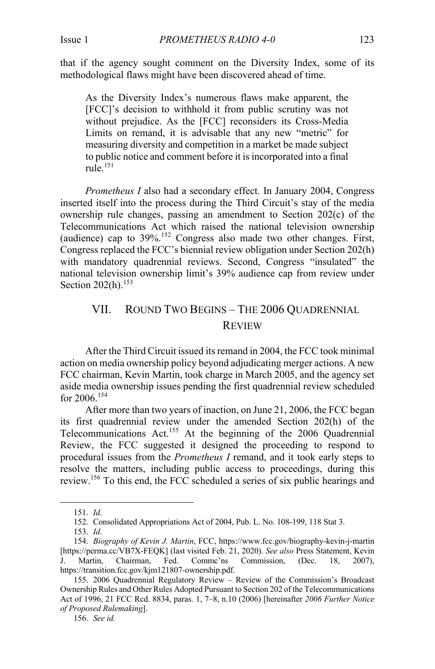that if the agency sought comment on the Diversity Index, some of its methodological flaws might have been discovered ahead of time.

As the Diversity Index's numerous flaws make apparent, the [FCC]'s decision to withhold it from public scrutiny was not without prejudice. As the [FCC] reconsiders its Cross-Media Limits on remand, it is advisable that any new "metric" for measuring diversity and competition in a market be made subject to public notice and comment before it is incorporated into a final  $rule.151}$ 

*Prometheus I* also had a secondary effect. In January 2004, Congress inserted itself into the process during the Third Circuit's stay of the media ownership rule changes, passing an amendment to Section 202(c) of the Telecommunications Act which raised the national television ownership (audience) cap to  $39\%$ .<sup>152</sup> Congress also made two other changes. First, Congress replaced the FCC's biennial review obligation under Section 202(h) with mandatory quadrennial reviews. Second, Congress "insulated" the national television ownership limit's 39% audience cap from review under Section  $202(h)$ .<sup>153</sup>

## VII. ROUND TWO BEGINS – THE 2006 QUADRENNIAL REVIEW

After the Third Circuit issued its remand in 2004, the FCC took minimal action on media ownership policy beyond adjudicating merger actions. A new FCC chairman, Kevin Martin, took charge in March 2005, and the agency set aside media ownership issues pending the first quadrennial review scheduled for  $2006$ <sup>154</sup>

After more than two years of inaction, on June 21, 2006, the FCC began its first quadrennial review under the amended Section 202(h) of the Telecommunications Act.<sup>155</sup> At the beginning of the 2006 Quadrennial Review, the FCC suggested it designed the proceeding to respond to procedural issues from the *Prometheus I* remand, and it took early steps to resolve the matters, including public access to proceedings, during this review.156 To this end, the FCC scheduled a series of six public hearings and

156. *See id.*

<sup>151.</sup> *Id*.

<sup>152.</sup> Consolidated Appropriations Act of 2004, Pub. L. No. 108-199, 118 Stat 3.

<sup>153.</sup> *Id*.

<sup>154.</sup> *Biography of Kevin J. Martin*, FCC, https://www.fcc.gov/biography-kevin-j-martin [https://perma.cc/VB7X-FEQK] (last visited Feb. 21, 2020). *See also* Press Statement, Kevin Martin, Chairman, Fed. Commc'ns Commission, (Dec. 18, 2007), https://transition.fcc.gov/kjm121807-ownership.pdf.

<sup>155.</sup> 2006 Quadrennial Regulatory Review – Review of the Commission's Broadcast Ownership Rules and Other Rules Adopted Pursuant to Section 202 of the Telecommunications Act of 1996, 21 FCC Rcd. 8834, paras. 1, 7–8, n.10 (2006) [hereinafter *2006 Further Notice of Proposed Rulemaking*].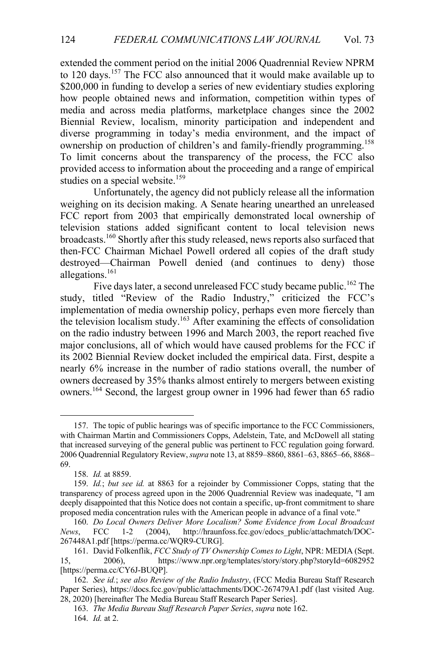extended the comment period on the initial 2006 Quadrennial Review NPRM to 120 days.<sup>157</sup> The FCC also announced that it would make available up to \$200,000 in funding to develop a series of new evidentiary studies exploring how people obtained news and information, competition within types of media and across media platforms, marketplace changes since the 2002 Biennial Review, localism, minority participation and independent and diverse programming in today's media environment, and the impact of ownership on production of children's and family-friendly programming.<sup>158</sup> To limit concerns about the transparency of the process, the FCC also provided access to information about the proceeding and a range of empirical studies on a special website.<sup>159</sup>

Unfortunately, the agency did not publicly release all the information weighing on its decision making. A Senate hearing unearthed an unreleased FCC report from 2003 that empirically demonstrated local ownership of television stations added significant content to local television news broadcasts.<sup>160</sup> Shortly after this study released, news reports also surfaced that then-FCC Chairman Michael Powell ordered all copies of the draft study destroyed—Chairman Powell denied (and continues to deny) those allegations. 161

Five days later, a second unreleased FCC study became public.<sup>162</sup> The study, titled "Review of the Radio Industry," criticized the FCC's implementation of media ownership policy, perhaps even more fiercely than the television localism study.<sup>163</sup> After examining the effects of consolidation on the radio industry between 1996 and March 2003, the report reached five major conclusions, all of which would have caused problems for the FCC if its 2002 Biennial Review docket included the empirical data. First, despite a nearly 6% increase in the number of radio stations overall, the number of owners decreased by 35% thanks almost entirely to mergers between existing owners.<sup>164</sup> Second, the largest group owner in 1996 had fewer than 65 radio

<sup>157.</sup> The topic of public hearings was of specific importance to the FCC Commissioners, with Chairman Martin and Commissioners Copps, Adelstein, Tate, and McDowell all stating that increased surveying of the general public was pertinent to FCC regulation going forward. 2006 Quadrennial Regulatory Review, *supra* note 13, at 8859–8860, 8861–63, 8865–66, 8868– 69.

<sup>158.</sup> *Id.* at 8859.

<sup>159.</sup> *Id.*; *but see id.* at 8863 for a rejoinder by Commissioner Copps, stating that the transparency of process agreed upon in the 2006 Quadrennial Review was inadequate, "I am deeply disappointed that this Notice does not contain a specific, up-front commitment to share proposed media concentration rules with the American people in advance of a final vote."

<sup>160.</sup> *Do Local Owners Deliver More Localism? Some Evidence from Local Broadcast News*, FCC 1-2 (2004), http://hraunfoss.fcc.gov/edocs\_public/attachmatch/DOC-267448A1.pdf [https://perma.cc/WQR9-CURG].

<sup>161.</sup> David Folkenflik, *FCC Study of TV Ownership Comes to Light*, NPR: MEDIA (Sept. 15, 2006), https://www.npr.org/templates/story/story.php?storyId=6082952 [https://perma.cc/CY6J-BUQP].

<sup>162.</sup> *See id.*; *see also Review of the Radio Industry*, (FCC Media Bureau Staff Research Paper Series), https://docs.fcc.gov/public/attachments/DOC-267479A1.pdf (last visited Aug. 28, 2020) [hereinafter The Media Bureau Staff Research Paper Series].

<sup>163.</sup> *The Media Bureau Staff Research Paper Series*, *supra* note 162. 164. *Id.* at 2.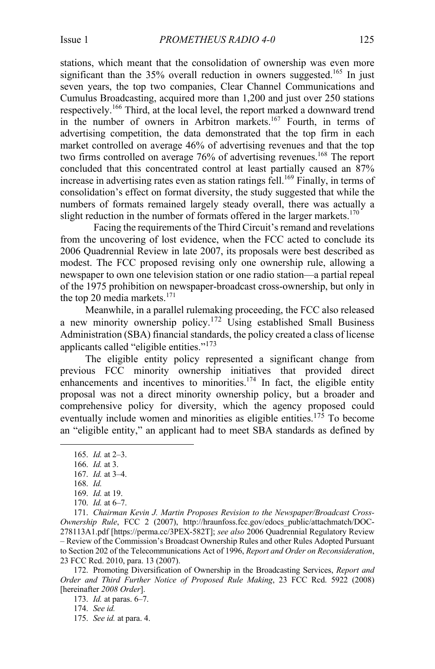stations, which meant that the consolidation of ownership was even more significant than the  $35\%$  overall reduction in owners suggested.<sup>165</sup> In just seven years, the top two companies, Clear Channel Communications and Cumulus Broadcasting, acquired more than 1,200 and just over 250 stations respectively.<sup>166</sup> Third, at the local level, the report marked a downward trend in the number of owners in Arbitron markets.<sup>167</sup> Fourth, in terms of advertising competition, the data demonstrated that the top firm in each market controlled on average 46% of advertising revenues and that the top two firms controlled on average 76% of advertising revenues. <sup>168</sup> The report concluded that this concentrated control at least partially caused an 87% increase in advertising rates even as station ratings fell. <sup>169</sup> Finally, in terms of consolidation's effect on format diversity, the study suggested that while the numbers of formats remained largely steady overall, there was actually a slight reduction in the number of formats offered in the larger markets.<sup>170</sup>

Facing the requirements of the Third Circuit's remand and revelations from the uncovering of lost evidence, when the FCC acted to conclude its 2006 Quadrennial Review in late 2007, its proposals were best described as modest. The FCC proposed revising only one ownership rule, allowing a newspaper to own one television station or one radio station—a partial repeal of the 1975 prohibition on newspaper-broadcast cross-ownership, but only in the top 20 media markets. 171

Meanwhile, in a parallel rulemaking proceeding, the FCC also released a new minority ownership policy.<sup>172</sup> Using established Small Business Administration (SBA) financial standards, the policy created a class of license applicants called "eligible entities."<sup>173</sup>

The eligible entity policy represented a significant change from previous FCC minority ownership initiatives that provided direct enhancements and incentives to minorities.<sup>174</sup> In fact, the eligible entity proposal was not a direct minority ownership policy, but a broader and comprehensive policy for diversity, which the agency proposed could eventually include women and minorities as eligible entities.<sup>175</sup> To become an "eligible entity," an applicant had to meet SBA standards as defined by

172. Promoting Diversification of Ownership in the Broadcasting Services, *Report and Order and Third Further Notice of Proposed Rule Making*, 23 FCC Rcd. 5922 (2008) [hereinafter *2008 Order*].

173. *Id.* at paras. 6–7.

175. *See id.* at para. 4.

<sup>165.</sup> *Id.* at 2–3. 166. *Id.* at 3.

<sup>167.</sup> *Id.* at 3–4.

<sup>168.</sup> *Id.*

<sup>169.</sup> *Id.* at 19.

<sup>170.</sup> *Id.* at 6–7.

<sup>171.</sup> *Chairman Kevin J. Martin Proposes Revision to the Newspaper/Broadcast Cross-Ownership Rule*, FCC 2 (2007), http://hraunfoss.fcc.gov/edocs\_public/attachmatch/DOC-278113A1.pdf [https://perma.cc/3PEX-582T]; *see also* 2006 Quadrennial Regulatory Review – Review of the Commission's Broadcast Ownership Rules and other Rules Adopted Pursuant to Section 202 of the Telecommunications Act of 1996, *Report and Order on Reconsideration*, 23 FCC Rcd. 2010, para. 13 (2007).

<sup>174.</sup> *See id.*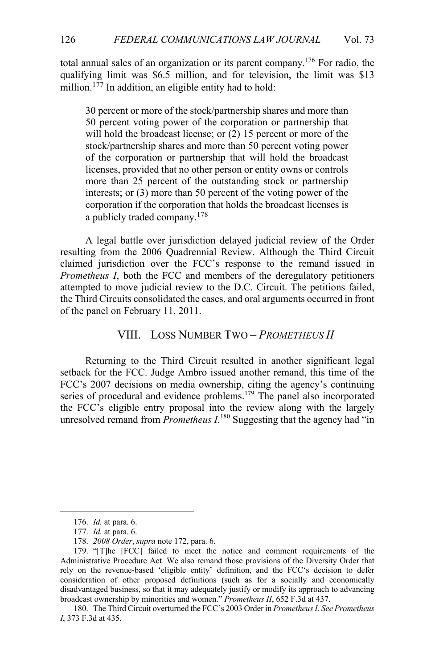total annual sales of an organization or its parent company.<sup>176</sup> For radio, the qualifying limit was \$6.5 million, and for television, the limit was \$13 million.<sup>177</sup> In addition, an eligible entity had to hold:

30 percent or more of the stock/partnership shares and more than 50 percent voting power of the corporation or partnership that will hold the broadcast license; or  $(2)$  15 percent or more of the stock/partnership shares and more than 50 percent voting power of the corporation or partnership that will hold the broadcast licenses, provided that no other person or entity owns or controls more than 25 percent of the outstanding stock or partnership interests; or (3) more than 50 percent of the voting power of the corporation if the corporation that holds the broadcast licenses is a publicly traded company.<sup>178</sup>

A legal battle over jurisdiction delayed judicial review of the Order resulting from the 2006 Quadrennial Review. Although the Third Circuit claimed jurisdiction over the FCC's response to the remand issued in *Prometheus I*, both the FCC and members of the deregulatory petitioners attempted to move judicial review to the D.C. Circuit. The petitions failed, the Third Circuits consolidated the cases, and oral arguments occurred in front of the panel on February 11, 2011.

#### VIII. LOSS NUMBER TWO – *PROMETHEUS II*

Returning to the Third Circuit resulted in another significant legal setback for the FCC. Judge Ambro issued another remand, this time of the FCC's 2007 decisions on media ownership, citing the agency's continuing series of procedural and evidence problems.<sup>179</sup> The panel also incorporated the FCC's eligible entry proposal into the review along with the largely unresolved remand from *Prometheus*  $I^{180}$  Suggesting that the agency had "in

<sup>176.</sup> *Id.* at para. 6.

<sup>177.</sup> *Id.* at para. 6.

<sup>178.</sup> *2008 Order*, *supra* note 172, para. 6.

<sup>179.</sup> "[T]he [FCC] failed to meet the notice and comment requirements of the Administrative Procedure Act. We also remand those provisions of the Diversity Order that rely on the revenue-based 'eligible entity' definition, and the FCC's decision to defer consideration of other proposed definitions (such as for a socially and economically disadvantaged business, so that it may adequately justify or modify its approach to advancing broadcast ownership by minorities and women." *Prometheus II*, 652 F.3d at 437.

<sup>180.</sup> The Third Circuit overturned the FCC's 2003 Order in *Prometheus I*. *See Prometheus I*, 373 F.3d at 435.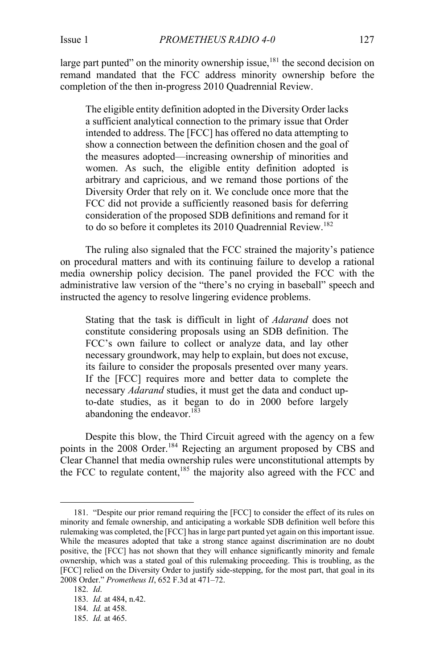large part punted" on the minority ownership issue, $181$  the second decision on remand mandated that the FCC address minority ownership before the completion of the then in-progress 2010 Quadrennial Review.

The eligible entity definition adopted in the Diversity Order lacks a sufficient analytical connection to the primary issue that Order intended to address. The [FCC] has offered no data attempting to show a connection between the definition chosen and the goal of the measures adopted—increasing ownership of minorities and women. As such, the eligible entity definition adopted is arbitrary and capricious, and we remand those portions of the Diversity Order that rely on it. We conclude once more that the FCC did not provide a sufficiently reasoned basis for deferring consideration of the proposed SDB definitions and remand for it to do so before it completes its 2010 Quadrennial Review.<sup>182</sup>

The ruling also signaled that the FCC strained the majority's patience on procedural matters and with its continuing failure to develop a rational media ownership policy decision. The panel provided the FCC with the administrative law version of the "there's no crying in baseball" speech and instructed the agency to resolve lingering evidence problems.

Stating that the task is difficult in light of *Adarand* does not constitute considering proposals using an SDB definition. The FCC's own failure to collect or analyze data, and lay other necessary groundwork, may help to explain, but does not excuse, its failure to consider the proposals presented over many years. If the [FCC] requires more and better data to complete the necessary *Adarand* studies, it must get the data and conduct upto-date studies, as it began to do in 2000 before largely abandoning the endeavor. $183$ 

Despite this blow, the Third Circuit agreed with the agency on a few points in the 2008 Order.<sup>184</sup> Rejecting an argument proposed by CBS and Clear Channel that media ownership rules were unconstitutional attempts by the FCC to regulate content,<sup>185</sup> the majority also agreed with the FCC and

<sup>181.</sup> "Despite our prior remand requiring the [FCC] to consider the effect of its rules on minority and female ownership, and anticipating a workable SDB definition well before this rulemaking was completed, the [FCC] has in large part punted yet again on this important issue. While the measures adopted that take a strong stance against discrimination are no doubt positive, the [FCC] has not shown that they will enhance significantly minority and female ownership, which was a stated goal of this rulemaking proceeding. This is troubling, as the [FCC] relied on the Diversity Order to justify side-stepping, for the most part, that goal in its 2008 Order." *Prometheus II*, 652 F.3d at 471–72.

<sup>182.</sup> *Id*.

<sup>183.</sup> *Id.* at 484, n.42.

<sup>184.</sup> *Id.* at 458.

<sup>185.</sup> *Id.* at 465.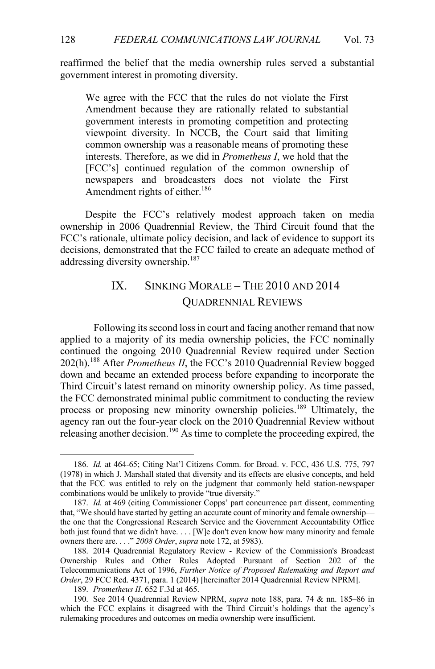reaffirmed the belief that the media ownership rules served a substantial government interest in promoting diversity.

We agree with the FCC that the rules do not violate the First Amendment because they are rationally related to substantial government interests in promoting competition and protecting viewpoint diversity. In NCCB, the Court said that limiting common ownership was a reasonable means of promoting these interests. Therefore, as we did in *Prometheus I*, we hold that the [FCC's] continued regulation of the common ownership of newspapers and broadcasters does not violate the First Amendment rights of either.<sup>186</sup>

Despite the FCC's relatively modest approach taken on media ownership in 2006 Quadrennial Review, the Third Circuit found that the FCC's rationale, ultimate policy decision, and lack of evidence to support its decisions, demonstrated that the FCC failed to create an adequate method of addressing diversity ownership.<sup>187</sup>

# IX. SINKING MORALE – THE 2010 AND 2014 QUADRENNIAL REVIEWS

Following its second loss in court and facing another remand that now applied to a majority of its media ownership policies, the FCC nominally continued the ongoing 2010 Quadrennial Review required under Section 202(h). <sup>188</sup> After *Prometheus II*, the FCC's 2010 Quadrennial Review bogged down and became an extended process before expanding to incorporate the Third Circuit's latest remand on minority ownership policy. As time passed, the FCC demonstrated minimal public commitment to conducting the review process or proposing new minority ownership policies.<sup>189</sup> Ultimately, the agency ran out the four-year clock on the 2010 Quadrennial Review without releasing another decision.<sup>190</sup> As time to complete the proceeding expired, the

<sup>186.</sup> *Id.* at 464-65; Citing Nat'l Citizens Comm. for Broad. v. FCC, 436 U.S. 775, 797 (1978) in which J. Marshall stated that diversity and its effects are elusive concepts, and held that the FCC was entitled to rely on the judgment that commonly held station-newspaper combinations would be unlikely to provide "true diversity."

<sup>187.</sup> *Id.* at 469 (citing Commissioner Copps' part concurrence part dissent, commenting that, "We should have started by getting an accurate count of minority and female ownership the one that the Congressional Research Service and the Government Accountability Office both just found that we didn't have. . . . [W]e don't even know how many minority and female owners there are. . . ." *2008 Order*, *supra* note 172, at 5983).

<sup>188.</sup> 2014 Quadrennial Regulatory Review - Review of the Commission's Broadcast Ownership Rules and Other Rules Adopted Pursuant of Section 202 of the Telecommunications Act of 1996, *Further Notice of Proposed Rulemaking and Report and Order*, 29 FCC Rcd. 4371, para. 1 (2014) [hereinafter 2014 Quadrennial Review NPRM].

<sup>189.</sup> *Prometheus II*, 652 F.3d at 465.

<sup>190.</sup> See 2014 Quadrennial Review NPRM, *supra* note 188, para. 74 & nn. 185–86 in which the FCC explains it disagreed with the Third Circuit's holdings that the agency's rulemaking procedures and outcomes on media ownership were insufficient.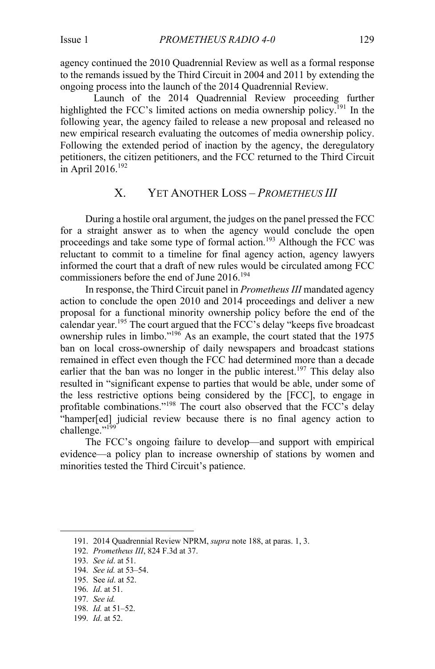agency continued the 2010 Quadrennial Review as well as a formal response to the remands issued by the Third Circuit in 2004 and 2011 by extending the ongoing process into the launch of the 2014 Quadrennial Review.

Launch of the 2014 Quadrennial Review proceeding further highlighted the FCC's limited actions on media ownership policy.<sup>191</sup> In the following year, the agency failed to release a new proposal and released no new empirical research evaluating the outcomes of media ownership policy. Following the extended period of inaction by the agency, the deregulatory petitioners, the citizen petitioners, and the FCC returned to the Third Circuit in April 2016. $192$ 

#### X. YET ANOTHER LOSS – *PROMETHEUS III*

During a hostile oral argument, the judges on the panel pressed the FCC for a straight answer as to when the agency would conclude the open proceedings and take some type of formal action.<sup>193</sup> Although the FCC was reluctant to commit to a timeline for final agency action, agency lawyers informed the court that a draft of new rules would be circulated among FCC commissioners before the end of June 2016. 194

In response, the Third Circuit panel in *Prometheus III* mandated agency action to conclude the open 2010 and 2014 proceedings and deliver a new proposal for a functional minority ownership policy before the end of the calendar year.<sup>195</sup> The court argued that the FCC's delay "keeps five broadcast ownership rules in limbo."196 As an example, the court stated that the 1975 ban on local cross-ownership of daily newspapers and broadcast stations remained in effect even though the FCC had determined more than a decade earlier that the ban was no longer in the public interest.<sup>197</sup> This delay also resulted in "significant expense to parties that would be able, under some of the less restrictive options being considered by the [FCC], to engage in profitable combinations."<sup>198</sup> The court also observed that the FCC's delay "hamper[ed] judicial review because there is no final agency action to challenge."<sup>199</sup>

The FCC's ongoing failure to develop—and support with empirical evidence—a policy plan to increase ownership of stations by women and minorities tested the Third Circuit's patience.

- 198. *Id.* at 51–52.
- 199. *Id*. at 52.

<sup>191.</sup> 2014 Quadrennial Review NPRM, *supra* note 188, at paras. 1, 3.

<sup>192.</sup> *Prometheus III*, 824 F.3d at 37.

<sup>193.</sup> *See id*. at 51.

<sup>194.</sup> *See id.* at 53–54.

<sup>195.</sup> See *id*. at 52.

<sup>196.</sup> *Id*. at 51.

<sup>197.</sup> *See id.*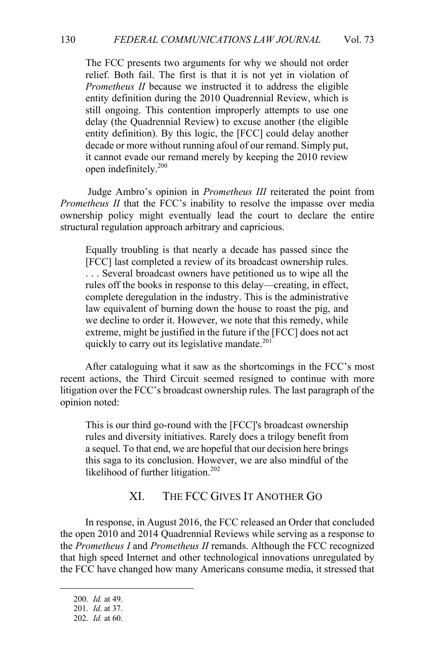The FCC presents two arguments for why we should not order relief. Both fail. The first is that it is not yet in violation of *Prometheus II* because we instructed it to address the eligible entity definition during the 2010 Quadrennial Review, which is still ongoing. This contention improperly attempts to use one delay (the Quadrennial Review) to excuse another (the eligible entity definition). By this logic, the [FCC] could delay another decade or more without running afoul of our remand. Simply put, it cannot evade our remand merely by keeping the 2010 review open indefinitely.200

Judge Ambro's opinion in *Prometheus III* reiterated the point from *Prometheus II* that the FCC's inability to resolve the impasse over media ownership policy might eventually lead the court to declare the entire structural regulation approach arbitrary and capricious.

Equally troubling is that nearly a decade has passed since the [FCC] last completed a review of its broadcast ownership rules. . . . Several broadcast owners have petitioned us to wipe all the rules off the books in response to this delay—creating, in effect, complete deregulation in the industry. This is the administrative law equivalent of burning down the house to roast the pig, and we decline to order it. However, we note that this remedy, while extreme, might be justified in the future if the [FCC] does not act quickly to carry out its legislative mandate.<sup>201</sup>

After cataloguing what it saw as the shortcomings in the FCC's most recent actions, the Third Circuit seemed resigned to continue with more litigation over the FCC's broadcast ownership rules. The last paragraph of the opinion noted:

This is our third go-round with the [FCC]'s broadcast ownership rules and diversity initiatives. Rarely does a trilogy benefit from a sequel. To that end, we are hopeful that our decision here brings this saga to its conclusion. However, we are also mindful of the likelihood of further litigation. $202$ 

#### XI. THE FCC GIVES IT ANOTHER GO

In response, in August 2016, the FCC released an Order that concluded the open 2010 and 2014 Quadrennial Reviews while serving as a response to the *Prometheus I* and *Prometheus II* remands. Although the FCC recognized that high speed Internet and other technological innovations unregulated by the FCC have changed how many Americans consume media, it stressed that

<sup>200.</sup> *Id.* at 49.

<sup>201.</sup> *Id*. at 37.

<sup>202.</sup> *Id.* at 60.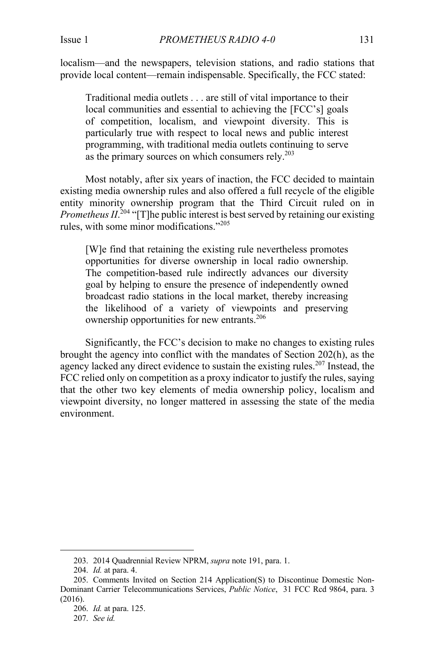localism—and the newspapers, television stations, and radio stations that provide local content—remain indispensable. Specifically, the FCC stated:

Traditional media outlets . . . are still of vital importance to their local communities and essential to achieving the [FCC's] goals of competition, localism, and viewpoint diversity. This is particularly true with respect to local news and public interest programming, with traditional media outlets continuing to serve as the primary sources on which consumers rely. $2^{03}$ 

Most notably, after six years of inaction, the FCC decided to maintain existing media ownership rules and also offered a full recycle of the eligible entity minority ownership program that the Third Circuit ruled on in *Prometheus*  $II^{204}$  "[T]he public interest is best served by retaining our existing rules, with some minor modifications."<sup>205</sup>

[W]e find that retaining the existing rule nevertheless promotes opportunities for diverse ownership in local radio ownership. The competition-based rule indirectly advances our diversity goal by helping to ensure the presence of independently owned broadcast radio stations in the local market, thereby increasing the likelihood of a variety of viewpoints and preserving ownership opportunities for new entrants.<sup>206</sup>

Significantly, the FCC's decision to make no changes to existing rules brought the agency into conflict with the mandates of Section 202(h), as the agency lacked any direct evidence to sustain the existing rules.<sup>207</sup> Instead, the FCC relied only on competition as a proxy indicator to justify the rules, saying that the other two key elements of media ownership policy, localism and viewpoint diversity, no longer mattered in assessing the state of the media environment.

<sup>203.</sup> 2014 Quadrennial Review NPRM, *supra* note 191, para. 1.

<sup>204.</sup> *Id.* at para. 4.

<sup>205.</sup> Comments Invited on Section 214 Application(S) to Discontinue Domestic Non-Dominant Carrier Telecommunications Services, *Public Notice*, 31 FCC Rcd 9864, para. 3  $(2016)$ .

<sup>206.</sup> *Id.* at para. 125.

<sup>207.</sup> *See id.*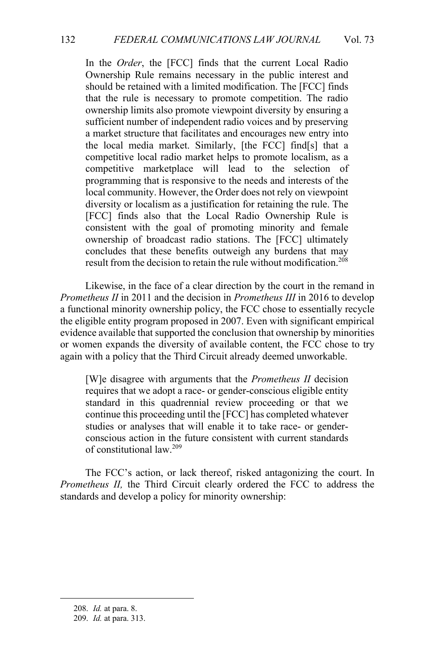In the *Order*, the [FCC] finds that the current Local Radio Ownership Rule remains necessary in the public interest and should be retained with a limited modification. The [FCC] finds that the rule is necessary to promote competition. The radio ownership limits also promote viewpoint diversity by ensuring a sufficient number of independent radio voices and by preserving a market structure that facilitates and encourages new entry into the local media market. Similarly, [the FCC] find[s] that a competitive local radio market helps to promote localism, as a competitive marketplace will lead to the selection of programming that is responsive to the needs and interests of the local community. However, the Order does not rely on viewpoint diversity or localism as a justification for retaining the rule. The [FCC] finds also that the Local Radio Ownership Rule is consistent with the goal of promoting minority and female ownership of broadcast radio stations. The [FCC] ultimately concludes that these benefits outweigh any burdens that may result from the decision to retain the rule without modification.<sup>208</sup>

Likewise, in the face of a clear direction by the court in the remand in *Prometheus II* in 2011 and the decision in *Prometheus III* in 2016 to develop a functional minority ownership policy, the FCC chose to essentially recycle the eligible entity program proposed in 2007. Even with significant empirical evidence available that supported the conclusion that ownership by minorities or women expands the diversity of available content, the FCC chose to try again with a policy that the Third Circuit already deemed unworkable.

[W]e disagree with arguments that the *Prometheus II* decision requires that we adopt a race- or gender-conscious eligible entity standard in this quadrennial review proceeding or that we continue this proceeding until the [FCC] has completed whatever studies or analyses that will enable it to take race- or genderconscious action in the future consistent with current standards of constitutional law.209

The FCC's action, or lack thereof, risked antagonizing the court. In *Prometheus II,* the Third Circuit clearly ordered the FCC to address the standards and develop a policy for minority ownership:

<sup>208.</sup> *Id.* at para. 8.

<sup>209.</sup> *Id.* at para. 313.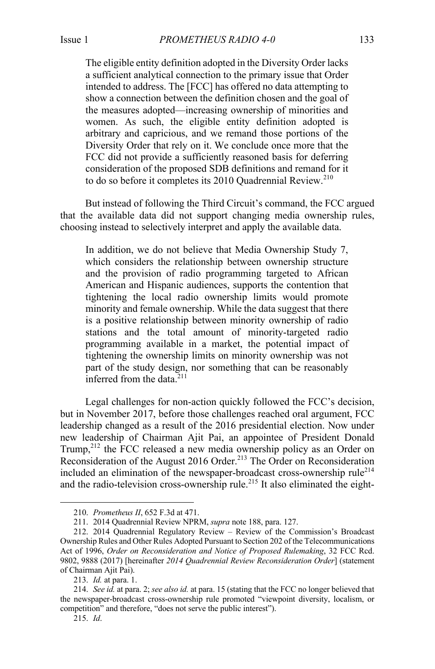Issue 1 *PROMETHEUS RADIO 4-0* 133

The eligible entity definition adopted in the Diversity Order lacks a sufficient analytical connection to the primary issue that Order intended to address. The [FCC] has offered no data attempting to show a connection between the definition chosen and the goal of the measures adopted—increasing ownership of minorities and women. As such, the eligible entity definition adopted is arbitrary and capricious, and we remand those portions of the Diversity Order that rely on it. We conclude once more that the FCC did not provide a sufficiently reasoned basis for deferring consideration of the proposed SDB definitions and remand for it to do so before it completes its  $2010$  Quadrennial Review.<sup>210</sup>

But instead of following the Third Circuit's command, the FCC argued that the available data did not support changing media ownership rules, choosing instead to selectively interpret and apply the available data.

In addition, we do not believe that Media Ownership Study 7, which considers the relationship between ownership structure and the provision of radio programming targeted to African American and Hispanic audiences, supports the contention that tightening the local radio ownership limits would promote minority and female ownership. While the data suggest that there is a positive relationship between minority ownership of radio stations and the total amount of minority-targeted radio programming available in a market, the potential impact of tightening the ownership limits on minority ownership was not part of the study design, nor something that can be reasonably inferred from the data. $211$ 

Legal challenges for non-action quickly followed the FCC's decision, but in November 2017, before those challenges reached oral argument, FCC leadership changed as a result of the 2016 presidential election. Now under new leadership of Chairman Ajit Pai, an appointee of President Donald Trump,<sup>212</sup> the FCC released a new media ownership policy as an Order on Reconsideration of the August 2016 Order.<sup>213</sup> The Order on Reconsideration included an elimination of the newspaper-broadcast cross-ownership rule<sup>214</sup> and the radio-television cross-ownership rule.<sup>215</sup> It also eliminated the eight-

<sup>210.</sup> *Prometheus II*, 652 F.3d at 471.

<sup>211.</sup> 2014 Quadrennial Review NPRM, *supra* note 188, para. 127.

<sup>212.</sup> 2014 Quadrennial Regulatory Review – Review of the Commission's Broadcast Ownership Rules and Other Rules Adopted Pursuant to Section 202 of the Telecommunications Act of 1996, *Order on Reconsideration and Notice of Proposed Rulemaking*, 32 FCC Rcd. 9802, 9888 (2017) [hereinafter *2014 Quadrennial Review Reconsideration Order*] (statement of Chairman Ajit Pai).

<sup>213.</sup> *Id.* at para. 1.

<sup>214.</sup> *See id.* at para. 2; *see also id.* at para. 15 (stating that the FCC no longer believed that the newspaper-broadcast cross-ownership rule promoted "viewpoint diversity, localism, or competition" and therefore, "does not serve the public interest").

<sup>215.</sup> *Id*.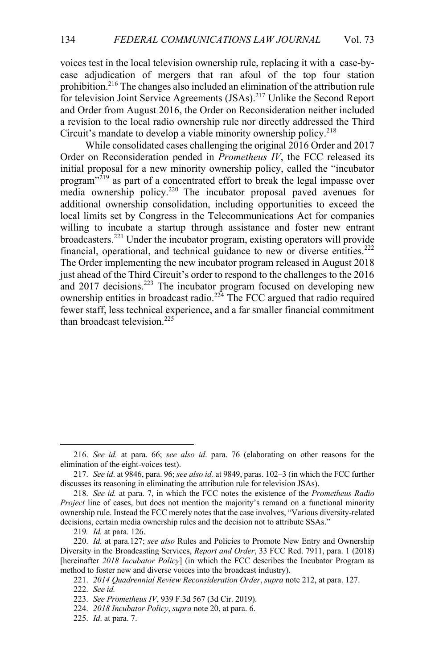voices test in the local television ownership rule, replacing it with a case-bycase adjudication of mergers that ran afoul of the top four station prohibition.216 The changes also included an elimination of the attribution rule for television Joint Service Agreements (JSAs).217 Unlike the Second Report and Order from August 2016, the Order on Reconsideration neither included a revision to the local radio ownership rule nor directly addressed the Third Circuit's mandate to develop a viable minority ownership policy.<sup>218</sup>

While consolidated cases challenging the original 2016 Order and 2017 Order on Reconsideration pended in *Prometheus IV*, the FCC released its initial proposal for a new minority ownership policy, called the "incubator program"<sup>219</sup> as part of a concentrated effort to break the legal impasse over media ownership policy.<sup>220</sup> The incubator proposal paved avenues for additional ownership consolidation, including opportunities to exceed the local limits set by Congress in the Telecommunications Act for companies willing to incubate a startup through assistance and foster new entrant broadcasters.<sup>221</sup> Under the incubator program, existing operators will provide financial, operational, and technical guidance to new or diverse entities.<sup>222</sup> The Order implementing the new incubator program released in August 2018 just ahead of the Third Circuit's order to respond to the challenges to the 2016 and 2017 decisions.<sup>223</sup> The incubator program focused on developing new ownership entities in broadcast radio.<sup>224</sup> The FCC argued that radio required fewer staff, less technical experience, and a far smaller financial commitment than broadcast television.<sup>225</sup>

221. *2014 Quadrennial Review Reconsideration Order*, *supra* note 212, at para. 127.

<sup>216.</sup> *See id.* at para. 66; *see also id*. para. 76 (elaborating on other reasons for the elimination of the eight-voices test).

<sup>217.</sup> *See id*. at 9846, para. 96; *see also id.* at 9849, paras. 102–3 (in which the FCC further discusses its reasoning in eliminating the attribution rule for television JSAs).

<sup>218.</sup> *See id.* at para. 7, in which the FCC notes the existence of the *Prometheus Radio Project* line of cases, but does not mention the majority's remand on a functional minority ownership rule. Instead the FCC merely notes that the case involves, "Various diversity-related decisions, certain media ownership rules and the decision not to attribute SSAs."

<sup>219</sup>*. Id.* at para. 126.

<sup>220.</sup> *Id.* at para.127; *see also* Rules and Policies to Promote New Entry and Ownership Diversity in the Broadcasting Services, *Report and Order*, 33 FCC Rcd. 7911, para. 1 (2018) [hereinafter *2018 Incubator Policy*] (in which the FCC describes the Incubator Program as method to foster new and diverse voices into the broadcast industry).

<sup>222.</sup> *See id.*

<sup>223.</sup> *See Prometheus IV*, 939 F.3d 567 (3d Cir. 2019).

<sup>224.</sup> *2018 Incubator Policy*, *supra* note 20, at para. 6.

<sup>225.</sup> *Id*. at para. 7.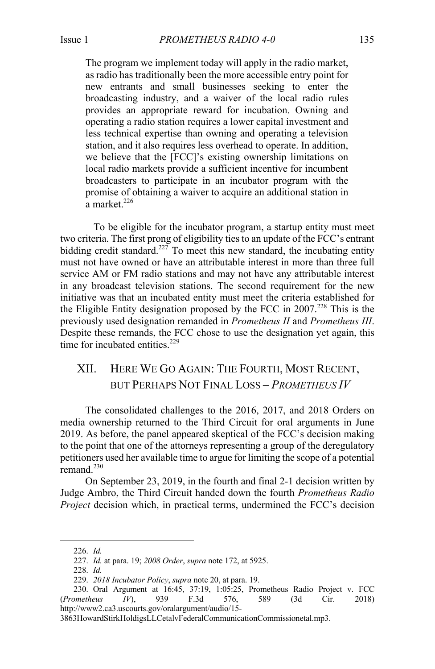The program we implement today will apply in the radio market, as radio has traditionally been the more accessible entry point for new entrants and small businesses seeking to enter the broadcasting industry, and a waiver of the local radio rules provides an appropriate reward for incubation. Owning and operating a radio station requires a lower capital investment and less technical expertise than owning and operating a television station, and it also requires less overhead to operate. In addition, we believe that the [FCC]'s existing ownership limitations on local radio markets provide a sufficient incentive for incumbent broadcasters to participate in an incubator program with the promise of obtaining a waiver to acquire an additional station in  $a$  market.<sup>226</sup>

To be eligible for the incubator program, a startup entity must meet two criteria. The first prong of eligibility ties to an update of the FCC's entrant bidding credit standard.<sup>227</sup> To meet this new standard, the incubating entity must not have owned or have an attributable interest in more than three full service AM or FM radio stations and may not have any attributable interest in any broadcast television stations. The second requirement for the new initiative was that an incubated entity must meet the criteria established for the Eligible Entity designation proposed by the FCC in 2007. <sup>228</sup> This is the previously used designation remanded in *Prometheus II* and *Prometheus III*. Despite these remands, the FCC chose to use the designation yet again, this time for incubated entities. $229$ 

# XII. HERE WE GO AGAIN: THE FOURTH, MOST RECENT, BUT PERHAPS NOT FINAL LOSS – *PROMETHEUS IV*

The consolidated challenges to the 2016, 2017, and 2018 Orders on media ownership returned to the Third Circuit for oral arguments in June 2019. As before, the panel appeared skeptical of the FCC's decision making to the point that one of the attorneys representing a group of the deregulatory petitioners used her available time to argue for limiting the scope of a potential remand. $230$ 

On September 23, 2019, in the fourth and final 2-1 decision written by Judge Ambro, the Third Circuit handed down the fourth *Prometheus Radio Project* decision which, in practical terms, undermined the FCC's decision

<sup>226.</sup> *Id.*

<sup>227.</sup> *Id.* at para. 19; *2008 Order*, *supra* note 172, at 5925.

<sup>228.</sup> *Id.*

<sup>229.</sup> *2018 Incubator Policy*, *supra* note 20, at para. 19.

<sup>230.</sup> Oral Argument at 16:45, 37:19, 1:05:25, Prometheus Radio Project v. FCC (*Prometheus IV*), 939 F.3d 576, 589 (3d Cir. 2018) http://www2.ca3.uscourts.gov/oralargument/audio/15-

<sup>3863</sup>HowardStirkHoldigsLLCetalvFederalCommunicationCommissionetal.mp3.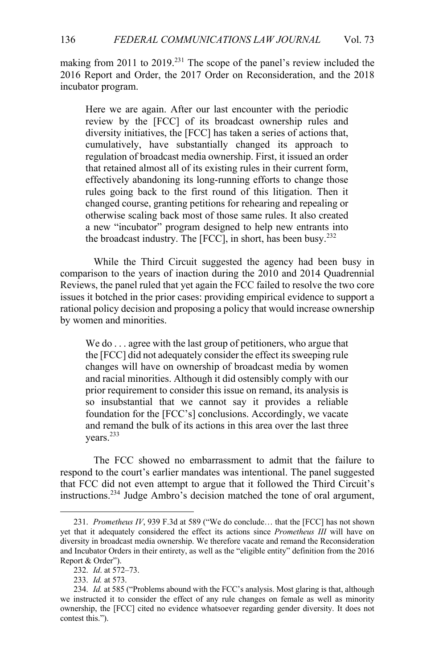making from 2011 to 2019.<sup>231</sup> The scope of the panel's review included the 2016 Report and Order, the 2017 Order on Reconsideration, and the 2018 incubator program.

Here we are again. After our last encounter with the periodic review by the [FCC] of its broadcast ownership rules and diversity initiatives, the [FCC] has taken a series of actions that, cumulatively, have substantially changed its approach to regulation of broadcast media ownership. First, it issued an order that retained almost all of its existing rules in their current form, effectively abandoning its long-running efforts to change those rules going back to the first round of this litigation. Then it changed course, granting petitions for rehearing and repealing or otherwise scaling back most of those same rules. It also created a new "incubator" program designed to help new entrants into the broadcast industry. The  $[FCC]$ , in short, has been busy.<sup>232</sup>

While the Third Circuit suggested the agency had been busy in comparison to the years of inaction during the 2010 and 2014 Quadrennial Reviews, the panel ruled that yet again the FCC failed to resolve the two core issues it botched in the prior cases: providing empirical evidence to support a rational policy decision and proposing a policy that would increase ownership by women and minorities.

We do ... agree with the last group of petitioners, who argue that the [FCC] did not adequately consider the effect its sweeping rule changes will have on ownership of broadcast media by women and racial minorities. Although it did ostensibly comply with our prior requirement to consider this issue on remand, its analysis is so insubstantial that we cannot say it provides a reliable foundation for the [FCC's] conclusions. Accordingly, we vacate and remand the bulk of its actions in this area over the last three years.<sup>233</sup>

The FCC showed no embarrassment to admit that the failure to respond to the court's earlier mandates was intentional. The panel suggested that FCC did not even attempt to argue that it followed the Third Circuit's instructions.234 Judge Ambro's decision matched the tone of oral argument,

<sup>231.</sup> *Prometheus IV*, 939 F.3d at 589 ("We do conclude… that the [FCC] has not shown yet that it adequately considered the effect its actions since *Prometheus III* will have on diversity in broadcast media ownership. We therefore vacate and remand the Reconsideration and Incubator Orders in their entirety, as well as the "eligible entity" definition from the 2016 Report & Order").

<sup>232.</sup> *Id*. at 572–73.

<sup>233.</sup> *Id.* at 573.

<sup>234.</sup> *Id.* at 585 ("Problems abound with the FCC's analysis. Most glaring is that, although we instructed it to consider the effect of any rule changes on female as well as minority ownership, the [FCC] cited no evidence whatsoever regarding gender diversity. It does not contest this.").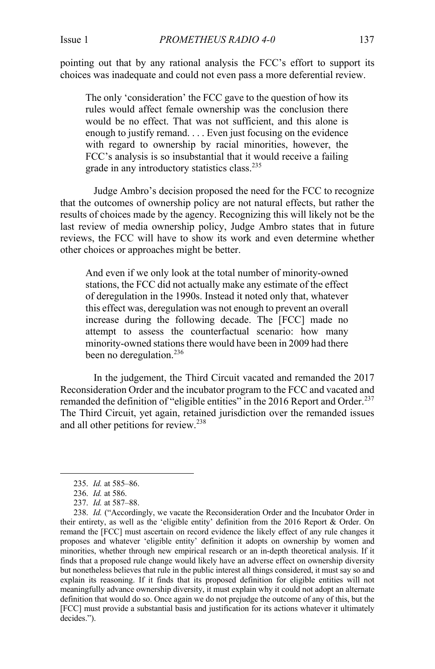pointing out that by any rational analysis the FCC's effort to support its choices was inadequate and could not even pass a more deferential review.

The only 'consideration' the FCC gave to the question of how its rules would affect female ownership was the conclusion there would be no effect. That was not sufficient, and this alone is enough to justify remand. . . . Even just focusing on the evidence with regard to ownership by racial minorities, however, the FCC's analysis is so insubstantial that it would receive a failing grade in any introductory statistics class.<sup>235</sup>

Judge Ambro's decision proposed the need for the FCC to recognize that the outcomes of ownership policy are not natural effects, but rather the results of choices made by the agency. Recognizing this will likely not be the last review of media ownership policy, Judge Ambro states that in future reviews, the FCC will have to show its work and even determine whether other choices or approaches might be better.

And even if we only look at the total number of minority-owned stations, the FCC did not actually make any estimate of the effect of deregulation in the 1990s. Instead it noted only that, whatever this effect was, deregulation was not enough to prevent an overall increase during the following decade. The [FCC] made no attempt to assess the counterfactual scenario: how many minority-owned stations there would have been in 2009 had there been no deregulation.<sup>236</sup>

In the judgement, the Third Circuit vacated and remanded the 2017 Reconsideration Order and the incubator program to the FCC and vacated and remanded the definition of "eligible entities" in the 2016 Report and Order.<sup>237</sup> The Third Circuit, yet again, retained jurisdiction over the remanded issues and all other petitions for review.<sup>238</sup>

<sup>235.</sup> *Id.* at 585–86.

<sup>236.</sup> *Id.* at 586.

<sup>237.</sup> *Id.* at 587–88.

<sup>238.</sup> *Id.* ("Accordingly, we vacate the Reconsideration Order and the Incubator Order in their entirety, as well as the 'eligible entity' definition from the 2016 Report & Order. On remand the [FCC] must ascertain on record evidence the likely effect of any rule changes it proposes and whatever 'eligible entity' definition it adopts on ownership by women and minorities, whether through new empirical research or an in-depth theoretical analysis. If it finds that a proposed rule change would likely have an adverse effect on ownership diversity but nonetheless believes that rule in the public interest all things considered, it must say so and explain its reasoning. If it finds that its proposed definition for eligible entities will not meaningfully advance ownership diversity, it must explain why it could not adopt an alternate definition that would do so. Once again we do not prejudge the outcome of any of this, but the [FCC] must provide a substantial basis and justification for its actions whatever it ultimately decides.").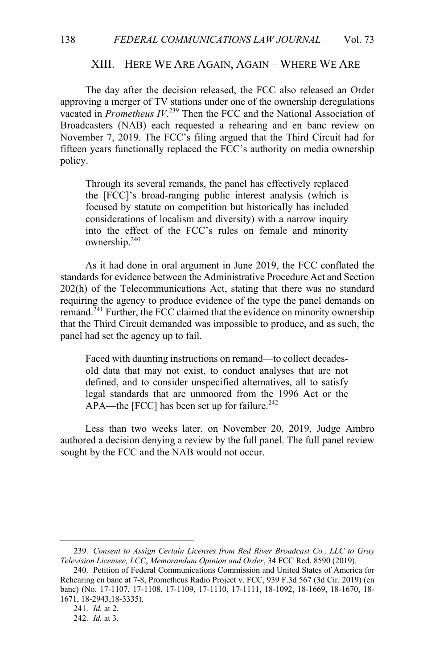#### XIII. HERE WE ARE AGAIN, AGAIN – WHERE WE ARE

The day after the decision released, the FCC also released an Order approving a merger of TV stations under one of the ownership deregulations vacated in *Prometheus IV*. <sup>239</sup> Then the FCC and the National Association of Broadcasters (NAB) each requested a rehearing and en banc review on November 7, 2019. The FCC's filing argued that the Third Circuit had for fifteen years functionally replaced the FCC's authority on media ownership policy.

Through its several remands, the panel has effectively replaced the [FCC]'s broad-ranging public interest analysis (which is focused by statute on competition but historically has included considerations of localism and diversity) with a narrow inquiry into the effect of the FCC's rules on female and minority ownership.240

As it had done in oral argument in June 2019, the FCC conflated the standards for evidence between the Administrative Procedure Act and Section 202(h) of the Telecommunications Act, stating that there was no standard requiring the agency to produce evidence of the type the panel demands on remand.<sup>241</sup> Further, the FCC claimed that the evidence on minority ownership that the Third Circuit demanded was impossible to produce, and as such, the panel had set the agency up to fail.

Faced with daunting instructions on remand—to collect decadesold data that may not exist, to conduct analyses that are not defined, and to consider unspecified alternatives, all to satisfy legal standards that are unmoored from the 1996 Act or the APA—the [FCC] has been set up for failure.<sup>242</sup>

Less than two weeks later, on November 20, 2019, Judge Ambro authored a decision denying a review by the full panel. The full panel review sought by the FCC and the NAB would not occur.

<sup>239.</sup> *Consent to Assign Certain Licenses from Red River Broadcast Co., LLC to Gray Television Licensee, LCC*, *Memorandum Opinion and Order*, 34 FCC Rcd. 8590 (2019).

<sup>240.</sup> Petition of Federal Communications Commission and United States of America for Rehearing en banc at 7-8, Prometheus Radio Project v. FCC, 939 F.3d 567 (3d Cir. 2019) (en banc) (No. 17-1107, 17-1108, 17-1109, 17-1110, 17-1111, 18-1092, 18-1669, 18-1670, 18- 1671, 18-2943,18-3335).

<sup>241.</sup> *Id.* at 2.

<sup>242.</sup> *Id.* at 3.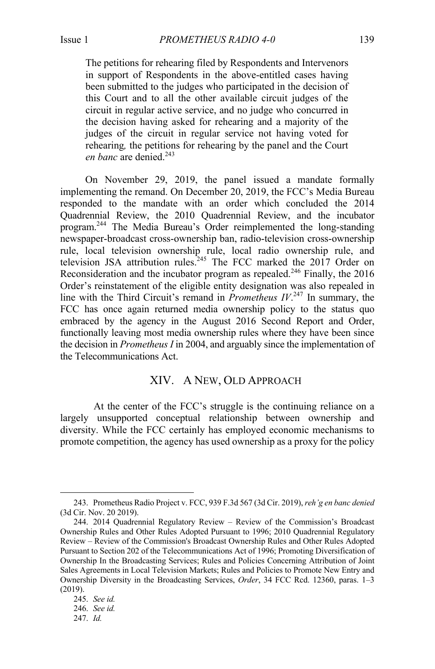The petitions for rehearing filed by Respondents and Intervenors in support of Respondents in the above-entitled cases having been submitted to the judges who participated in the decision of this Court and to all the other available circuit judges of the circuit in regular active service, and no judge who concurred in the decision having asked for rehearing and a majority of the judges of the circuit in regular service not having voted for rehearing*,* the petitions for rehearing by the panel and the Court *en banc* are denied.<sup>243</sup>

On November 29, 2019, the panel issued a mandate formally implementing the remand. On December 20, 2019, the FCC's Media Bureau responded to the mandate with an order which concluded the 2014 Quadrennial Review, the 2010 Quadrennial Review, and the incubator program.<sup>244</sup> The Media Bureau's Order reimplemented the long-standing newspaper-broadcast cross-ownership ban, radio-television cross-ownership rule, local television ownership rule, local radio ownership rule, and television JSA attribution rules.<sup>245</sup> The FCC marked the  $2017$  Order on Reconsideration and the incubator program as repealed.<sup>246</sup> Finally, the 2016 Order's reinstatement of the eligible entity designation was also repealed in line with the Third Circuit's remand in *Prometheus IV*. <sup>247</sup> In summary, the FCC has once again returned media ownership policy to the status quo embraced by the agency in the August 2016 Second Report and Order, functionally leaving most media ownership rules where they have been since the decision in *Prometheus I* in 2004, and arguably since the implementation of the Telecommunications Act.

#### XIV. A NEW, OLD APPROACH

At the center of the FCC's struggle is the continuing reliance on a largely unsupported conceptual relationship between ownership and diversity. While the FCC certainly has employed economic mechanisms to promote competition, the agency has used ownership as a proxy for the policy

<sup>243.</sup> Prometheus Radio Project v. FCC, 939 F.3d 567 (3d Cir. 2019), *reh'g en banc denied*  (3d Cir. Nov. 20 2019).

<sup>244.</sup> 2014 Quadrennial Regulatory Review – Review of the Commission's Broadcast Ownership Rules and Other Rules Adopted Pursuant to 1996; 2010 Quadrennial Regulatory Review – Review of the Commission's Broadcast Ownership Rules and Other Rules Adopted Pursuant to Section 202 of the Telecommunications Act of 1996; Promoting Diversification of Ownership In the Broadcasting Services; Rules and Policies Concerning Attribution of Joint Sales Agreements in Local Television Markets; Rules and Policies to Promote New Entry and Ownership Diversity in the Broadcasting Services, *Order*, 34 FCC Rcd. 12360, paras. 1–3 (2019).

<sup>245.</sup> *See id.*

<sup>246.</sup> *See id.*

<sup>247.</sup> *Id.*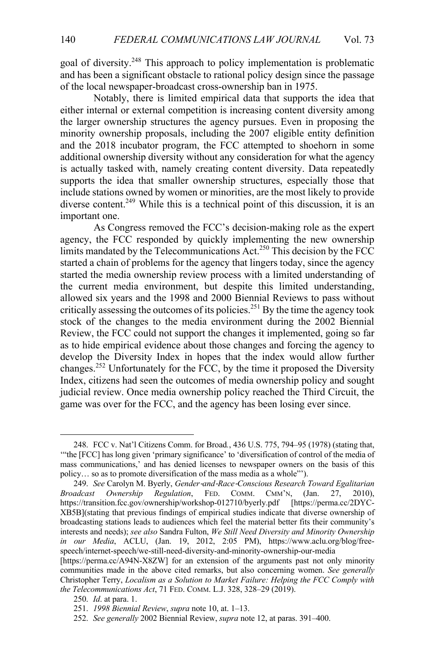goal of diversity.248 This approach to policy implementation is problematic and has been a significant obstacle to rational policy design since the passage of the local newspaper-broadcast cross-ownership ban in 1975.

Notably, there is limited empirical data that supports the idea that either internal or external competition is increasing content diversity among the larger ownership structures the agency pursues. Even in proposing the minority ownership proposals, including the 2007 eligible entity definition and the 2018 incubator program, the FCC attempted to shoehorn in some additional ownership diversity without any consideration for what the agency is actually tasked with, namely creating content diversity. Data repeatedly supports the idea that smaller ownership structures, especially those that include stations owned by women or minorities, are the most likely to provide diverse content.<sup>249</sup> While this is a technical point of this discussion, it is an important one.

As Congress removed the FCC's decision-making role as the expert agency, the FCC responded by quickly implementing the new ownership limits mandated by the Telecommunications  $Act^{250}$  This decision by the FCC started a chain of problems for the agency that lingers today, since the agency started the media ownership review process with a limited understanding of the current media environment, but despite this limited understanding, allowed six years and the 1998 and 2000 Biennial Reviews to pass without critically assessing the outcomes of its policies.251 By the time the agency took stock of the changes to the media environment during the 2002 Biennial Review, the FCC could not support the changes it implemented, going so far as to hide empirical evidence about those changes and forcing the agency to develop the Diversity Index in hopes that the index would allow further changes.<sup>252</sup> Unfortunately for the FCC, by the time it proposed the Diversity Index, citizens had seen the outcomes of media ownership policy and sought judicial review. Once media ownership policy reached the Third Circuit, the game was over for the FCC, and the agency has been losing ever since.

<sup>248.</sup> FCC v. Nat'l Citizens Comm. for Broad*.*, 436 U.S. 775, 794–95 (1978) (stating that, '"the [FCC] has long given 'primary significance' to 'diversification of control of the media of mass communications,' and has denied licenses to newspaper owners on the basis of this policy… so as to promote diversification of the mass media as a whole"').

<sup>249.</sup> *See* Carolyn M. Byerly, *Gender*-*and*-*Race*-*Conscious Research Toward Egalitarian Broadcast Ownership Regulation*, FED. COMM. CMM'N, (Jan. 27, 2010), https://transition.fcc.gov/ownership/workshop-012710/byerly.pdf [https://perma.cc/2DYChttps://transition.fcc.gov/ownership/workshop-012710/byerly.pdf XB5B](stating that previous findings of empirical studies indicate that diverse ownership of broadcasting stations leads to audiences which feel the material better fits their community's interests and needs); *see also* Sandra Fulton, *We Still Need Diversity and Minority Ownership in our Media*, ACLU, (Jan. 19, 2012, 2:05 PM), https://www.aclu.org/blog/freespeech/internet-speech/we-still-need-diversity-and-minority-ownership-our-media

<sup>[</sup>https://perma.cc/A94N-X8ZW] for an extension of the arguments past not only minority communities made in the above cited remarks, but also concerning women. *See generally*  Christopher Terry, *Localism as a Solution to Market Failure: Helping the FCC Comply with the Telecommunications Act*, 71 FED. COMM. L.J. 328, 328–29 (2019).

<sup>250.</sup> *Id*. at para. 1.

<sup>251.</sup> *1998 Biennial Review*, *supra* note 10, at. 1–13.

<sup>252.</sup> *See generally* 2002 Biennial Review, *supra* note 12, at paras. 391–400.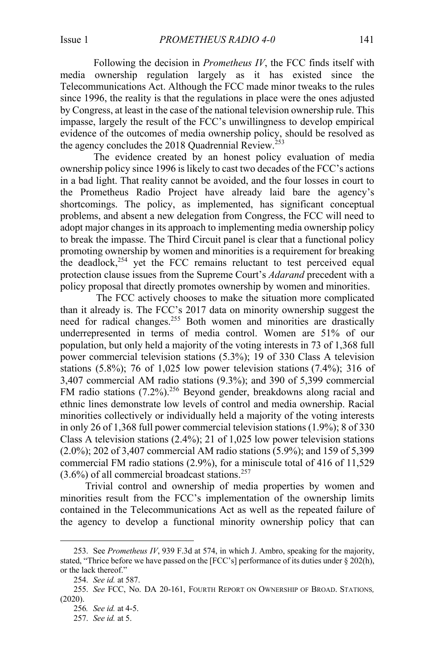Following the decision in *Prometheus IV*, the FCC finds itself with media ownership regulation largely as it has existed since the Telecommunications Act. Although the FCC made minor tweaks to the rules since 1996, the reality is that the regulations in place were the ones adjusted by Congress, at least in the case of the national television ownership rule. This impasse, largely the result of the FCC's unwillingness to develop empirical evidence of the outcomes of media ownership policy, should be resolved as the agency concludes the 2018 Quadrennial Review.<sup>253</sup>

The evidence created by an honest policy evaluation of media ownership policy since 1996 is likely to cast two decades of the FCC's actions in a bad light. That reality cannot be avoided, and the four losses in court to the Prometheus Radio Project have already laid bare the agency's shortcomings. The policy, as implemented, has significant conceptual problems, and absent a new delegation from Congress, the FCC will need to adopt major changes in its approach to implementing media ownership policy to break the impasse. The Third Circuit panel is clear that a functional policy promoting ownership by women and minorities is a requirement for breaking the deadlock, $254$  yet the FCC remains reluctant to test perceived equal protection clause issues from the Supreme Court's *Adarand* precedent with a policy proposal that directly promotes ownership by women and minorities.

The FCC actively chooses to make the situation more complicated than it already is. The FCC's 2017 data on minority ownership suggest the need for radical changes.<sup>255</sup> Both women and minorities are drastically underrepresented in terms of media control. Women are 51% of our population, but only held a majority of the voting interests in 73 of 1,368 full power commercial television stations (5.3%); 19 of 330 Class A television stations  $(5.8\%)$ ; 76 of 1,025 low power television stations  $(7.4\%)$ ; 316 of 3,407 commercial AM radio stations (9.3%); and 390 of 5,399 commercial FM radio stations (7.2%).<sup>256</sup> Beyond gender, breakdowns along racial and ethnic lines demonstrate low levels of control and media ownership. Racial minorities collectively or individually held a majority of the voting interests in only 26 of 1,368 full power commercial television stations (1.9%); 8 of 330 Class A television stations (2.4%); 21 of 1,025 low power television stations (2.0%); 202 of 3,407 commercial AM radio stations (5.9%); and 159 of 5,399 commercial FM radio stations (2.9%), for a miniscule total of 416 of 11,529  $(3.6\%)$  of all commercial broadcast stations.<sup>257</sup>

Trivial control and ownership of media properties by women and minorities result from the FCC's implementation of the ownership limits contained in the Telecommunications Act as well as the repeated failure of the agency to develop a functional minority ownership policy that can

<sup>253.</sup> See *Prometheus IV*, 939 F.3d at 574, in which J. Ambro, speaking for the majority, stated, "Thrice before we have passed on the [FCC's] performance of its duties under § 202(h), or the lack thereof."

<sup>254.</sup> *See id.* at 587.

<sup>255.</sup> *See* FCC, No. DA 20-161, FOURTH REPORT ON OWNERSHIP OF BROAD. STATIONS*,* (2020).

<sup>256</sup>*. See id.* at 4-5.

<sup>257.</sup> *See id.* at 5.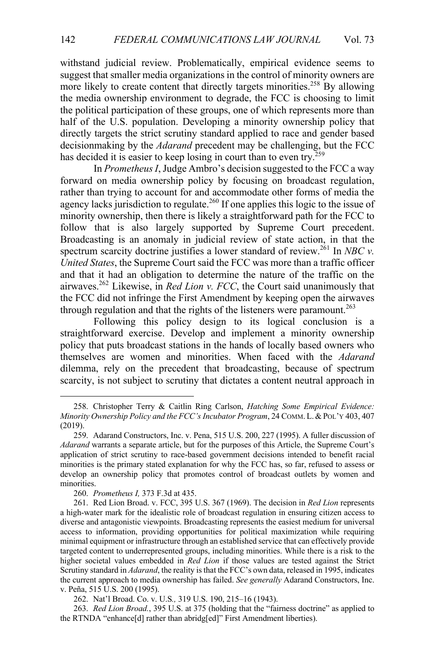withstand judicial review. Problematically, empirical evidence seems to suggest that smaller media organizations in the control of minority owners are more likely to create content that directly targets minorities.<sup>258</sup> By allowing the media ownership environment to degrade, the FCC is choosing to limit the political participation of these groups, one of which represents more than half of the U.S. population. Developing a minority ownership policy that directly targets the strict scrutiny standard applied to race and gender based decisionmaking by the *Adarand* precedent may be challenging, but the FCC has decided it is easier to keep losing in court than to even try.<sup>259</sup>

In *Prometheus I*, Judge Ambro's decision suggested to the FCC a way forward on media ownership policy by focusing on broadcast regulation, rather than trying to account for and accommodate other forms of media the agency lacks jurisdiction to regulate.<sup>260</sup> If one applies this logic to the issue of minority ownership, then there is likely a straightforward path for the FCC to follow that is also largely supported by Supreme Court precedent. Broadcasting is an anomaly in judicial review of state action, in that the spectrum scarcity doctrine justifies a lower standard of review.<sup>261</sup> In *NBC v. United States*, the Supreme Court said the FCC was more than a traffic officer and that it had an obligation to determine the nature of the traffic on the airwaves.262 Likewise, in *Red Lion v. FCC*, the Court said unanimously that the FCC did not infringe the First Amendment by keeping open the airwaves through regulation and that the rights of the listeners were paramount.<sup>263</sup>

Following this policy design to its logical conclusion is a straightforward exercise. Develop and implement a minority ownership policy that puts broadcast stations in the hands of locally based owners who themselves are women and minorities. When faced with the *Adarand* dilemma, rely on the precedent that broadcasting, because of spectrum scarcity, is not subject to scrutiny that dictates a content neutral approach in

263. *Red Lion Broad.*, 395 U.S. at 375 (holding that the "fairness doctrine" as applied to the RTNDA "enhance[d] rather than abridg[ed]" First Amendment liberties).

<sup>258.</sup> Christopher Terry & Caitlin Ring Carlson, *Hatching Some Empirical Evidence: Minority Ownership Policy and the FCC's Incubator Program*, 24 COMM. L.&POL'Y 403, 407 (2019).

<sup>259.</sup> Adarand Constructors, Inc. v. Pena, 515 U.S. 200, 227 (1995). A fuller discussion of *Adarand* warrants a separate article, but for the purposes of this Article, the Supreme Court's application of strict scrutiny to race-based government decisions intended to benefit racial minorities is the primary stated explanation for why the FCC has, so far, refused to assess or develop an ownership policy that promotes control of broadcast outlets by women and minorities.

<sup>260.</sup> *Prometheus I,* 373 F.3d at 435.

<sup>261.</sup> Red Lion Broad. v. FCC, 395 U.S. 367 (1969). The decision in *Red Lion* represents a high-water mark for the idealistic role of broadcast regulation in ensuring citizen access to diverse and antagonistic viewpoints. Broadcasting represents the easiest medium for universal access to information, providing opportunities for political maximization while requiring minimal equipment or infrastructure through an established service that can effectively provide targeted content to underrepresented groups, including minorities. While there is a risk to the higher societal values embedded in *Red Lion* if those values are tested against the Strict Scrutiny standard in *Adarand*, the reality is that the FCC's own data, released in 1995, indicates the current approach to media ownership has failed. *See generally* Adarand Constructors, Inc. v. Peña, 515 U.S. 200 (1995).

<sup>262.</sup> Nat'l Broad. Co. v. U.S*.,* 319 U.S. 190, 215–16 (1943).